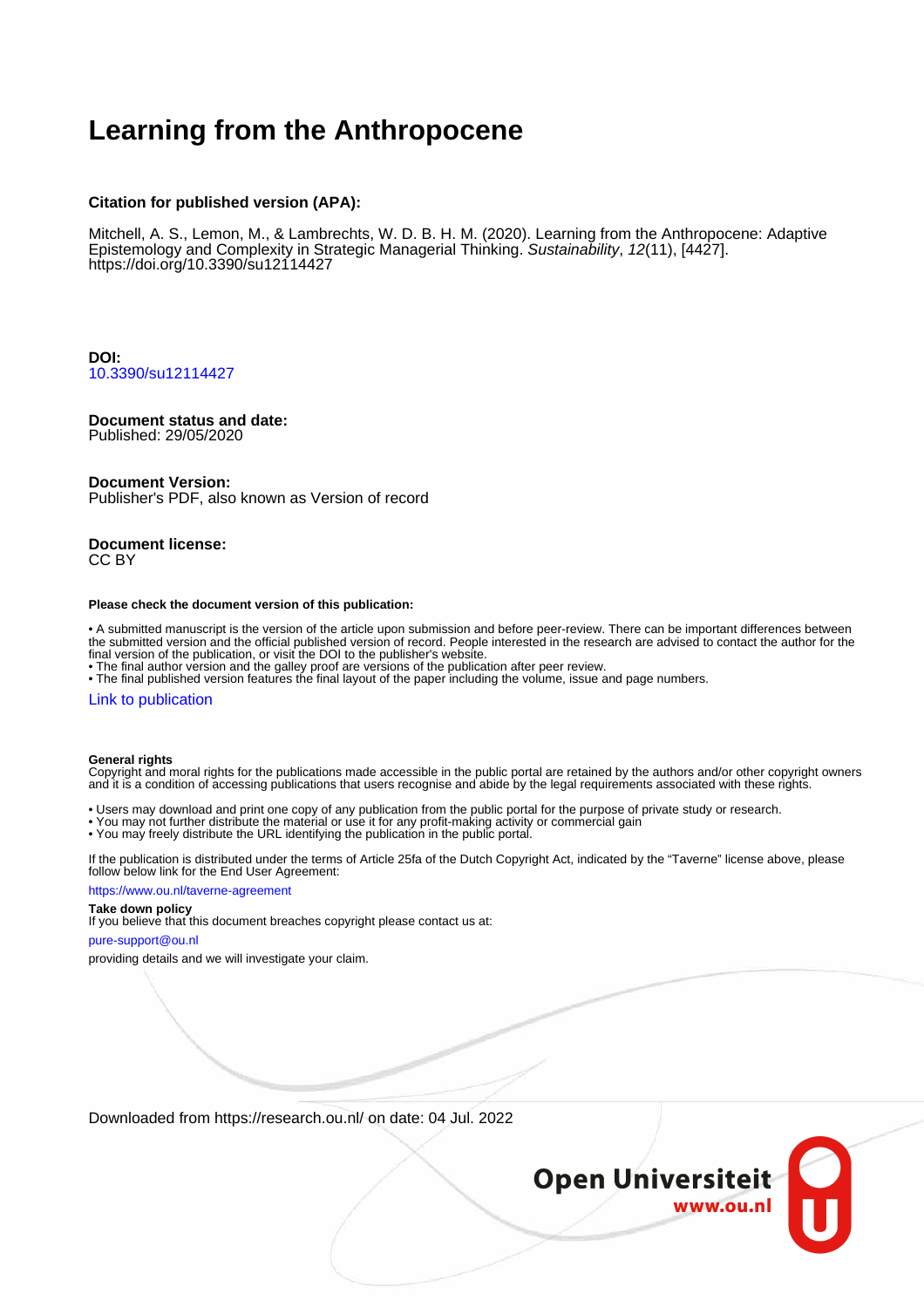## **Learning from the Anthropocene**

## **Citation for published version (APA):**

Mitchell, A. S., Lemon, M., & Lambrechts, W. D. B. H. M. (2020). Learning from the Anthropocene: Adaptive Epistemology and Complexity in Strategic Managerial Thinking. Sustainability, 12(11), [4427]. <https://doi.org/10.3390/su12114427>

**DOI:** [10.3390/su12114427](https://doi.org/10.3390/su12114427)

## **Document status and date:**

Published: 29/05/2020

## **Document Version:**

Publisher's PDF, also known as Version of record

#### **Document license:** CC BY

## **Please check the document version of this publication:**

• A submitted manuscript is the version of the article upon submission and before peer-review. There can be important differences between the submitted version and the official published version of record. People interested in the research are advised to contact the author for the final version of the publication, or visit the DOI to the publisher's website.

• The final author version and the galley proof are versions of the publication after peer review.

• The final published version features the final layout of the paper including the volume, issue and page numbers.

## [Link to publication](https://research.ou.nl/en/publications/85c284b7-684c-4c70-abb3-43d502009f81)

## **General rights**

Copyright and moral rights for the publications made accessible in the public portal are retained by the authors and/or other copyright owners and it is a condition of accessing publications that users recognise and abide by the legal requirements associated with these rights.

- Users may download and print one copy of any publication from the public portal for the purpose of private study or research.
- You may not further distribute the material or use it for any profit-making activity or commercial gain
- You may freely distribute the URL identifying the publication in the public portal.

If the publication is distributed under the terms of Article 25fa of the Dutch Copyright Act, indicated by the "Taverne" license above, please follow below link for the End User Agreement:

## https://www.ou.nl/taverne-agreement

## **Take down policy**

If you believe that this document breaches copyright please contact us at:

## pure-support@ou.nl

providing details and we will investigate your claim.

Downloaded from https://research.ou.nl/ on date: 04 Jul. 2022

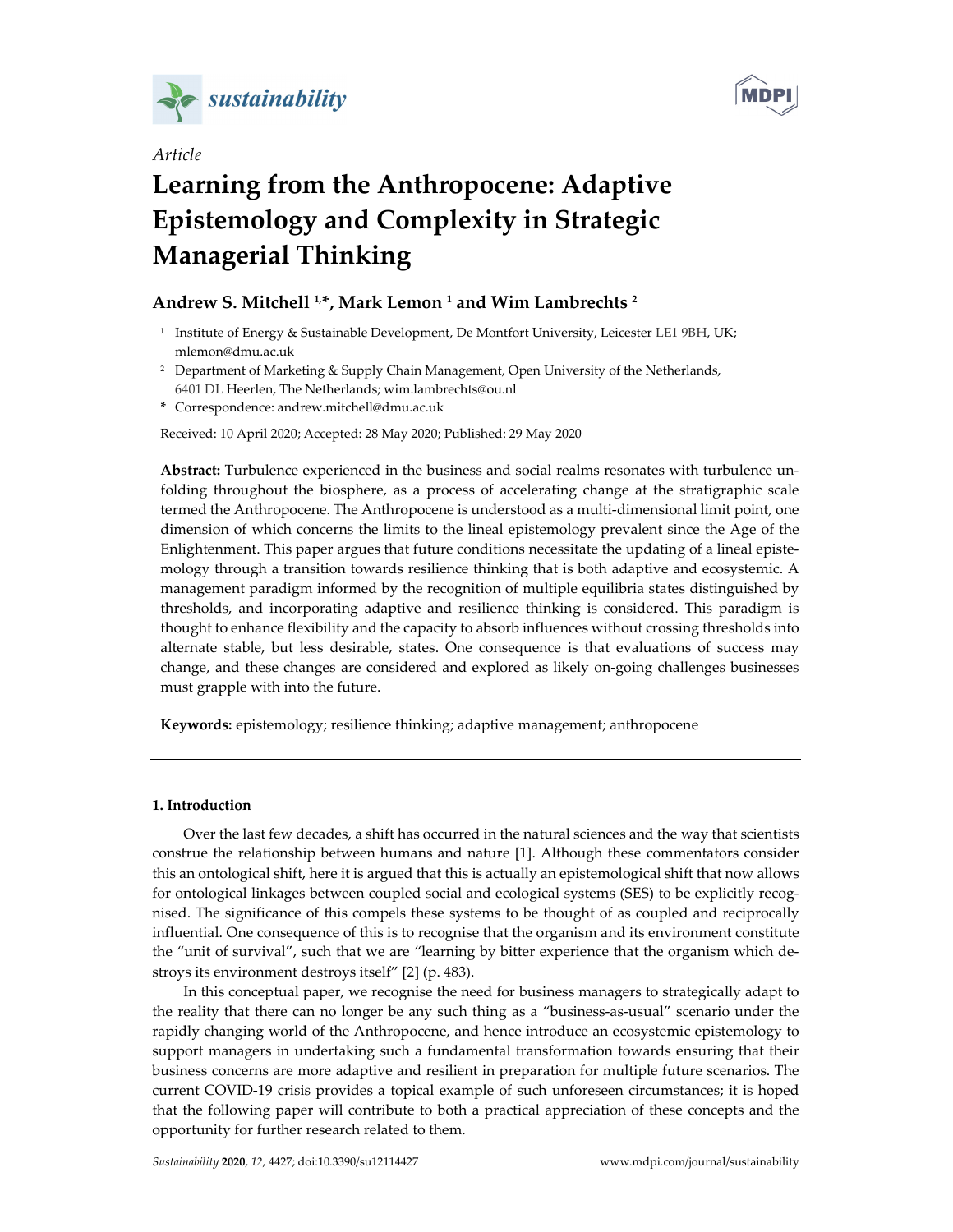



# *Article* **Learning from the Anthropocene: Adaptive Epistemology and Complexity in Strategic**

# **Managerial Thinking**

## **Andrew S. Mitchell 1,\*, Mark Lemon 1 and Wim Lambrechts 2**

- <sup>1</sup> Institute of Energy & Sustainable Development, De Montfort University, Leicester LE1 9BH, UK; mlemon@dmu.ac.uk
- <sup>2</sup> Department of Marketing & Supply Chain Management, Open University of the Netherlands, 6401 DL Heerlen, The Netherlands; wim.lambrechts@ou.nl
- **\*** Correspondence: andrew.mitchell@dmu.ac.uk

Received: 10 April 2020; Accepted: 28 May 2020; Published: 29 May 2020

**Abstract:** Turbulence experienced in the business and social realms resonates with turbulence unfolding throughout the biosphere, as a process of accelerating change at the stratigraphic scale termed the Anthropocene. The Anthropocene is understood as a multi-dimensional limit point, one dimension of which concerns the limits to the lineal epistemology prevalent since the Age of the Enlightenment. This paper argues that future conditions necessitate the updating of a lineal epistemology through a transition towards resilience thinking that is both adaptive and ecosystemic. A management paradigm informed by the recognition of multiple equilibria states distinguished by thresholds, and incorporating adaptive and resilience thinking is considered. This paradigm is thought to enhance flexibility and the capacity to absorb influences without crossing thresholds into alternate stable, but less desirable, states. One consequence is that evaluations of success may change, and these changes are considered and explored as likely on-going challenges businesses must grapple with into the future.

**Keywords:** epistemology; resilience thinking; adaptive management; anthropocene

## **1. Introduction**

Over the last few decades, a shift has occurred in the natural sciences and the way that scientists construe the relationship between humans and nature [1]. Although these commentators consider this an ontological shift, here it is argued that this is actually an epistemological shift that now allows for ontological linkages between coupled social and ecological systems (SES) to be explicitly recognised. The significance of this compels these systems to be thought of as coupled and reciprocally influential. One consequence of this is to recognise that the organism and its environment constitute the "unit of survival", such that we are "learning by bitter experience that the organism which destroys its environment destroys itself" [2] (p. 483).

In this conceptual paper, we recognise the need for business managers to strategically adapt to the reality that there can no longer be any such thing as a "business-as-usual" scenario under the rapidly changing world of the Anthropocene, and hence introduce an ecosystemic epistemology to support managers in undertaking such a fundamental transformation towards ensuring that their business concerns are more adaptive and resilient in preparation for multiple future scenarios. The current COVID-19 crisis provides a topical example of such unforeseen circumstances; it is hoped that the following paper will contribute to both a practical appreciation of these concepts and the opportunity for further research related to them.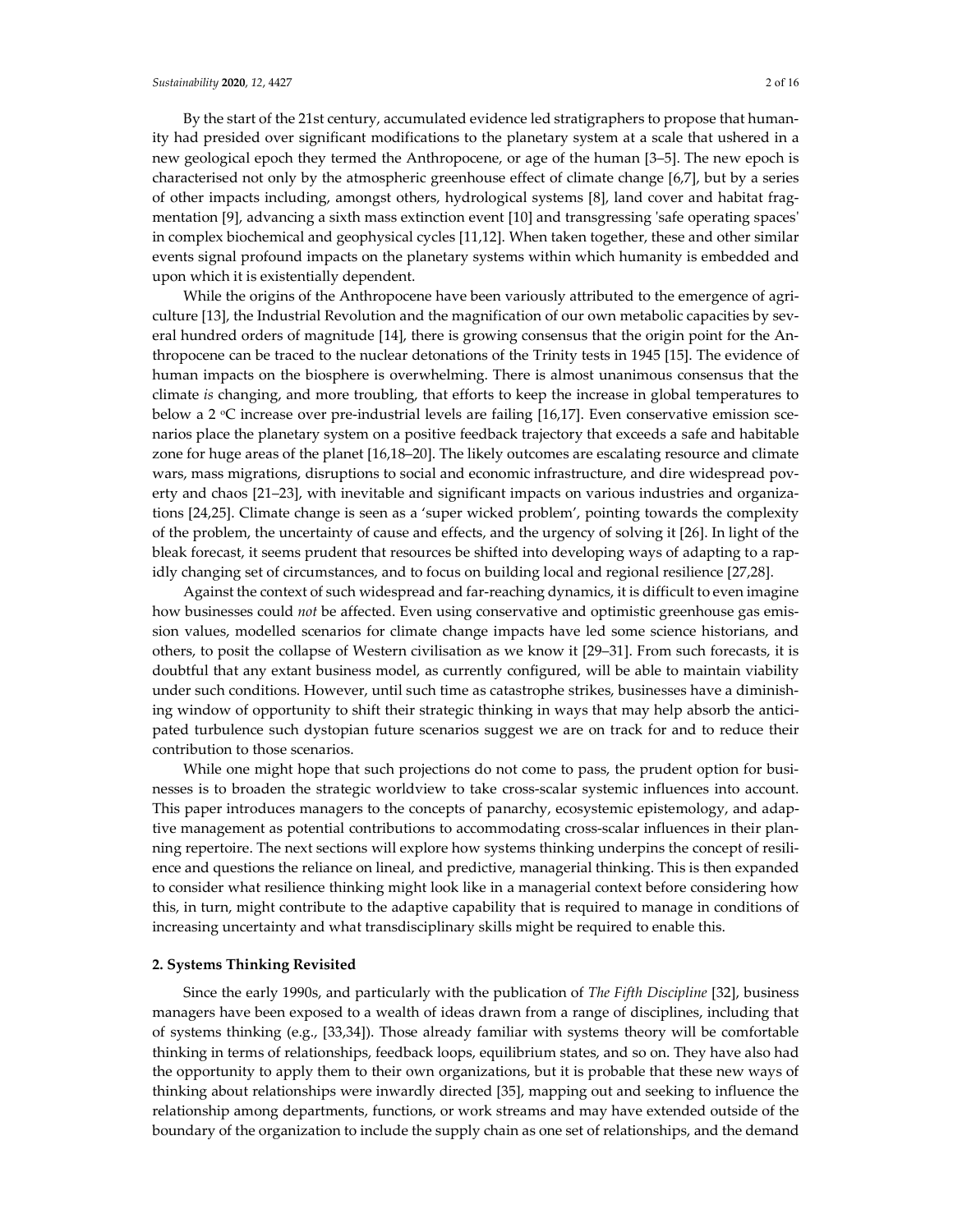By the start of the 21st century, accumulated evidence led stratigraphers to propose that humanity had presided over significant modifications to the planetary system at a scale that ushered in a new geological epoch they termed the Anthropocene, or age of the human [3–5]. The new epoch is characterised not only by the atmospheric greenhouse effect of climate change [6,7], but by a series of other impacts including, amongst others, hydrological systems [8], land cover and habitat fragmentation [9], advancing a sixth mass extinction event [10] and transgressing 'safe operating spaces' in complex biochemical and geophysical cycles [11,12]. When taken together, these and other similar events signal profound impacts on the planetary systems within which humanity is embedded and upon which it is existentially dependent.

While the origins of the Anthropocene have been variously attributed to the emergence of agriculture [13], the Industrial Revolution and the magnification of our own metabolic capacities by several hundred orders of magnitude [14], there is growing consensus that the origin point for the Anthropocene can be traced to the nuclear detonations of the Trinity tests in 1945 [15]. The evidence of human impacts on the biosphere is overwhelming. There is almost unanimous consensus that the climate *is* changing, and more troubling, that efforts to keep the increase in global temperatures to below a 2  $\degree$ C increase over pre-industrial levels are failing [16,17]. Even conservative emission scenarios place the planetary system on a positive feedback trajectory that exceeds a safe and habitable zone for huge areas of the planet [16,18–20]. The likely outcomes are escalating resource and climate wars, mass migrations, disruptions to social and economic infrastructure, and dire widespread poverty and chaos [21–23], with inevitable and significant impacts on various industries and organizations [24,25]. Climate change is seen as a 'super wicked problem', pointing towards the complexity of the problem, the uncertainty of cause and effects, and the urgency of solving it [26]. In light of the bleak forecast, it seems prudent that resources be shifted into developing ways of adapting to a rapidly changing set of circumstances, and to focus on building local and regional resilience [27,28].

Against the context of such widespread and far-reaching dynamics, it is difficult to even imagine how businesses could *not* be affected. Even using conservative and optimistic greenhouse gas emission values, modelled scenarios for climate change impacts have led some science historians, and others, to posit the collapse of Western civilisation as we know it [29–31]. From such forecasts, it is doubtful that any extant business model, as currently configured, will be able to maintain viability under such conditions. However, until such time as catastrophe strikes, businesses have a diminishing window of opportunity to shift their strategic thinking in ways that may help absorb the anticipated turbulence such dystopian future scenarios suggest we are on track for and to reduce their contribution to those scenarios.

While one might hope that such projections do not come to pass, the prudent option for businesses is to broaden the strategic worldview to take cross-scalar systemic influences into account. This paper introduces managers to the concepts of panarchy, ecosystemic epistemology, and adaptive management as potential contributions to accommodating cross-scalar influences in their planning repertoire. The next sections will explore how systems thinking underpins the concept of resilience and questions the reliance on lineal, and predictive, managerial thinking. This is then expanded to consider what resilience thinking might look like in a managerial context before considering how this, in turn, might contribute to the adaptive capability that is required to manage in conditions of increasing uncertainty and what transdisciplinary skills might be required to enable this.

## **2. Systems Thinking Revisited**

Since the early 1990s, and particularly with the publication of *The Fifth Discipline* [32], business managers have been exposed to a wealth of ideas drawn from a range of disciplines, including that of systems thinking (e.g., [33,34]). Those already familiar with systems theory will be comfortable thinking in terms of relationships, feedback loops, equilibrium states, and so on. They have also had the opportunity to apply them to their own organizations, but it is probable that these new ways of thinking about relationships were inwardly directed [35], mapping out and seeking to influence the relationship among departments, functions, or work streams and may have extended outside of the boundary of the organization to include the supply chain as one set of relationships, and the demand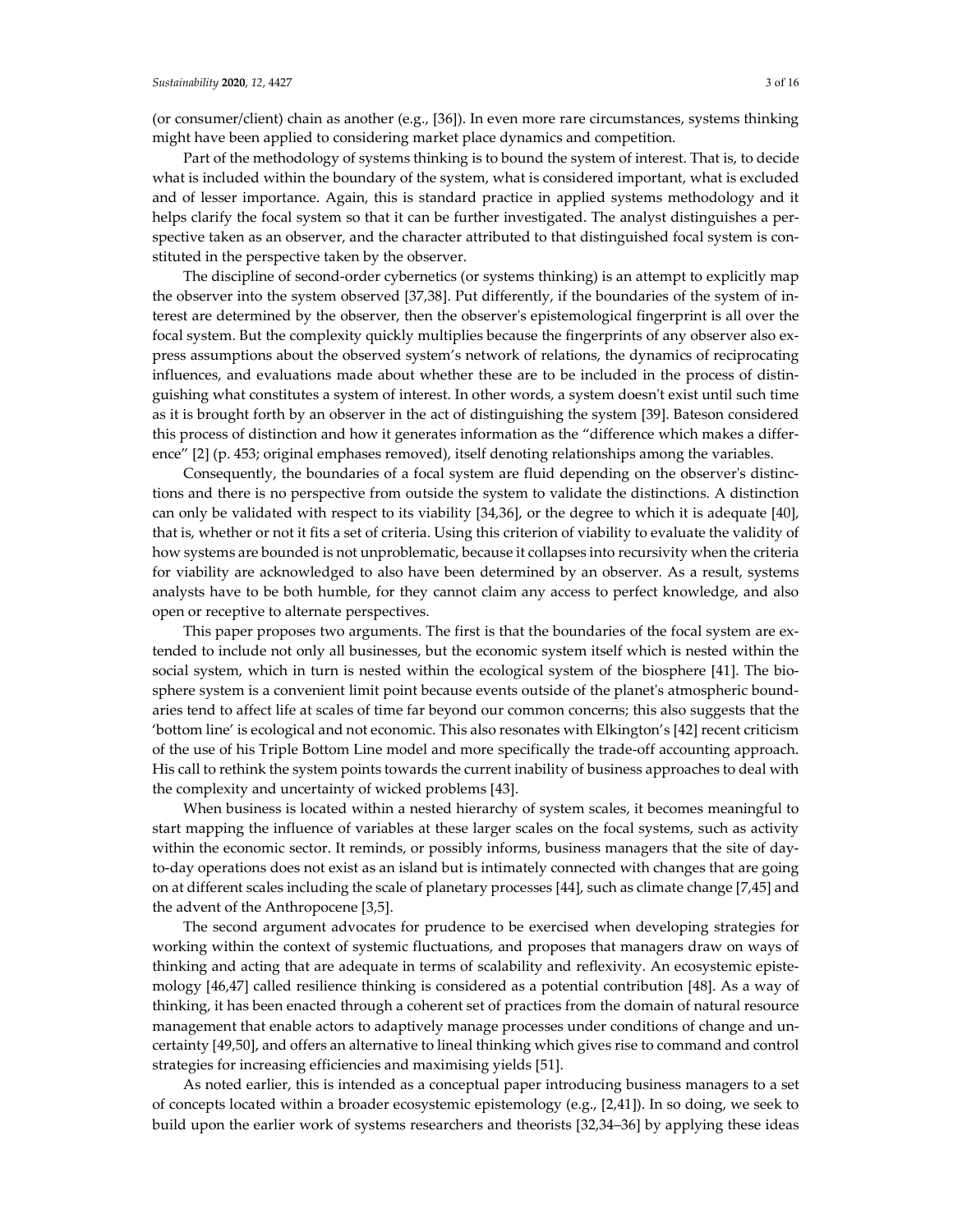might have been applied to considering market place dynamics and competition. Part of the methodology of systems thinking is to bound the system of interest. That is, to decide what is included within the boundary of the system, what is considered important, what is excluded and of lesser importance. Again, this is standard practice in applied systems methodology and it helps clarify the focal system so that it can be further investigated. The analyst distinguishes a perspective taken as an observer, and the character attributed to that distinguished focal system is constituted in the perspective taken by the observer.

The discipline of second-order cybernetics (or systems thinking) is an attempt to explicitly map the observer into the system observed [37,38]. Put differently, if the boundaries of the system of interest are determined by the observer, then the observer's epistemological fingerprint is all over the focal system. But the complexity quickly multiplies because the fingerprints of any observer also express assumptions about the observed system's network of relations, the dynamics of reciprocating influences, and evaluations made about whether these are to be included in the process of distinguishing what constitutes a system of interest. In other words, a system doesn't exist until such time as it is brought forth by an observer in the act of distinguishing the system [39]. Bateson considered this process of distinction and how it generates information as the "difference which makes a difference" [2] (p. 453; original emphases removed), itself denoting relationships among the variables.

Consequently, the boundaries of a focal system are fluid depending on the observer's distinctions and there is no perspective from outside the system to validate the distinctions. A distinction can only be validated with respect to its viability [34,36], or the degree to which it is adequate [40], that is, whether or not it fits a set of criteria. Using this criterion of viability to evaluate the validity of how systems are bounded is not unproblematic, because it collapses into recursivity when the criteria for viability are acknowledged to also have been determined by an observer. As a result, systems analysts have to be both humble, for they cannot claim any access to perfect knowledge, and also open or receptive to alternate perspectives.

This paper proposes two arguments. The first is that the boundaries of the focal system are extended to include not only all businesses, but the economic system itself which is nested within the social system, which in turn is nested within the ecological system of the biosphere [41]. The biosphere system is a convenient limit point because events outside of the planet's atmospheric boundaries tend to affect life at scales of time far beyond our common concerns; this also suggests that the 'bottom line' is ecological and not economic. This also resonates with Elkington's [42] recent criticism of the use of his Triple Bottom Line model and more specifically the trade-off accounting approach. His call to rethink the system points towards the current inability of business approaches to deal with the complexity and uncertainty of wicked problems [43].

When business is located within a nested hierarchy of system scales, it becomes meaningful to start mapping the influence of variables at these larger scales on the focal systems, such as activity within the economic sector. It reminds, or possibly informs, business managers that the site of dayto-day operations does not exist as an island but is intimately connected with changes that are going on at different scales including the scale of planetary processes [44], such as climate change [7,45] and the advent of the Anthropocene [3,5].

The second argument advocates for prudence to be exercised when developing strategies for working within the context of systemic fluctuations, and proposes that managers draw on ways of thinking and acting that are adequate in terms of scalability and reflexivity. An ecosystemic epistemology [46,47] called resilience thinking is considered as a potential contribution [48]. As a way of thinking, it has been enacted through a coherent set of practices from the domain of natural resource management that enable actors to adaptively manage processes under conditions of change and uncertainty [49,50], and offers an alternative to lineal thinking which gives rise to command and control strategies for increasing efficiencies and maximising yields [51].

As noted earlier, this is intended as a conceptual paper introducing business managers to a set of concepts located within a broader ecosystemic epistemology (e.g., [2,41]). In so doing, we seek to build upon the earlier work of systems researchers and theorists [32,34–36] by applying these ideas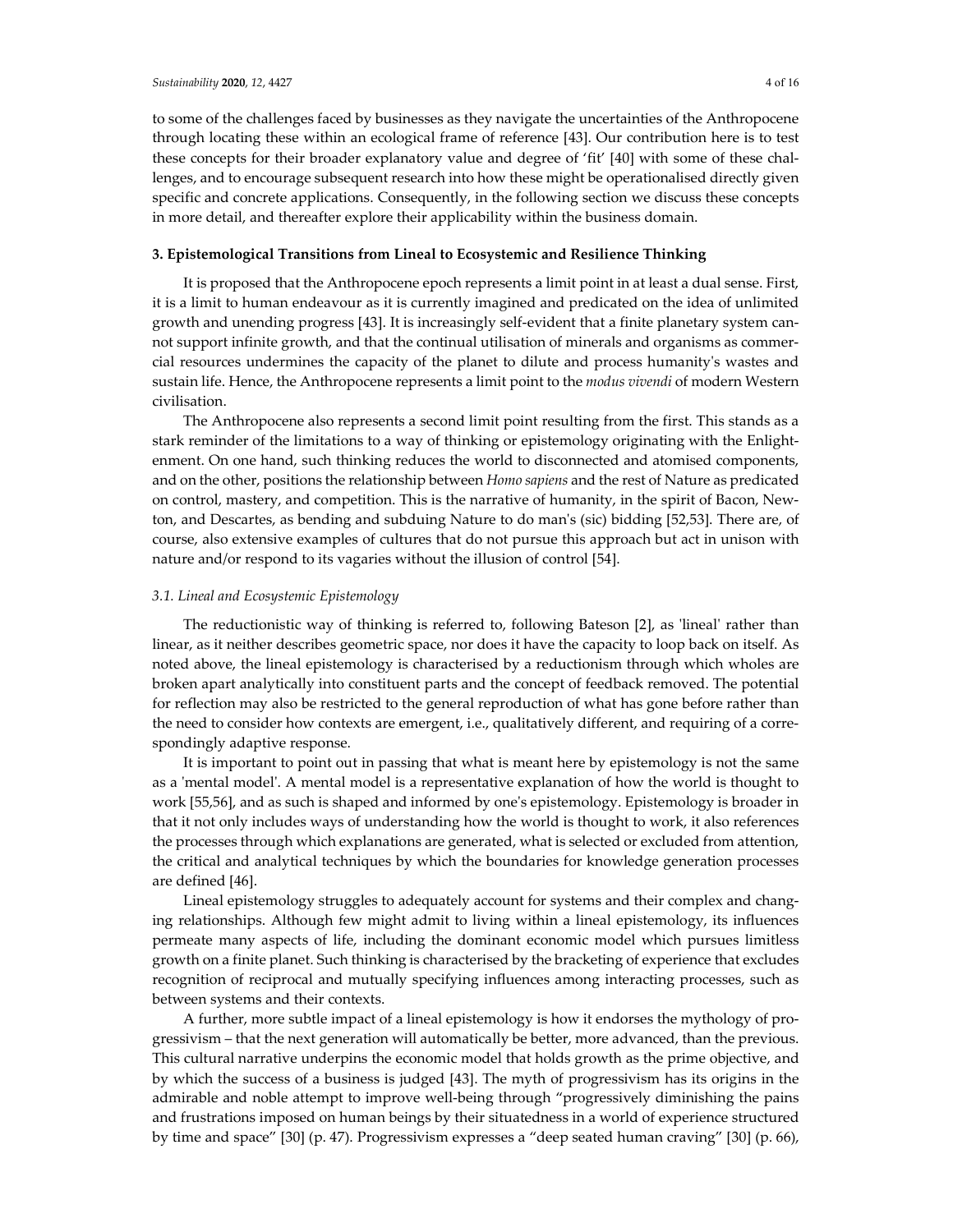to some of the challenges faced by businesses as they navigate the uncertainties of the Anthropocene through locating these within an ecological frame of reference [43]. Our contribution here is to test these concepts for their broader explanatory value and degree of 'fit' [40] with some of these challenges, and to encourage subsequent research into how these might be operationalised directly given specific and concrete applications. Consequently, in the following section we discuss these concepts in more detail, and thereafter explore their applicability within the business domain.

## **3. Epistemological Transitions from Lineal to Ecosystemic and Resilience Thinking**

It is proposed that the Anthropocene epoch represents a limit point in at least a dual sense. First, it is a limit to human endeavour as it is currently imagined and predicated on the idea of unlimited growth and unending progress [43]. It is increasingly self-evident that a finite planetary system cannot support infinite growth, and that the continual utilisation of minerals and organisms as commercial resources undermines the capacity of the planet to dilute and process humanity's wastes and sustain life. Hence, the Anthropocene represents a limit point to the *modus vivendi* of modern Western civilisation.

The Anthropocene also represents a second limit point resulting from the first. This stands as a stark reminder of the limitations to a way of thinking or epistemology originating with the Enlightenment. On one hand, such thinking reduces the world to disconnected and atomised components, and on the other, positions the relationship between *Homo sapiens* and the rest of Nature as predicated on control, mastery, and competition. This is the narrative of humanity, in the spirit of Bacon, Newton, and Descartes, as bending and subduing Nature to do man's (sic) bidding [52,53]. There are, of course, also extensive examples of cultures that do not pursue this approach but act in unison with nature and/or respond to its vagaries without the illusion of control [54].

## *3.1. Lineal and Ecosystemic Epistemology*

The reductionistic way of thinking is referred to, following Bateson [2], as 'lineal' rather than linear, as it neither describes geometric space, nor does it have the capacity to loop back on itself. As noted above, the lineal epistemology is characterised by a reductionism through which wholes are broken apart analytically into constituent parts and the concept of feedback removed. The potential for reflection may also be restricted to the general reproduction of what has gone before rather than the need to consider how contexts are emergent, i.e., qualitatively different, and requiring of a correspondingly adaptive response.

It is important to point out in passing that what is meant here by epistemology is not the same as a 'mental model'. A mental model is a representative explanation of how the world is thought to work [55,56], and as such is shaped and informed by one's epistemology. Epistemology is broader in that it not only includes ways of understanding how the world is thought to work, it also references the processes through which explanations are generated, what is selected or excluded from attention, the critical and analytical techniques by which the boundaries for knowledge generation processes are defined [46].

Lineal epistemology struggles to adequately account for systems and their complex and changing relationships. Although few might admit to living within a lineal epistemology, its influences permeate many aspects of life, including the dominant economic model which pursues limitless growth on a finite planet. Such thinking is characterised by the bracketing of experience that excludes recognition of reciprocal and mutually specifying influences among interacting processes, such as between systems and their contexts.

A further, more subtle impact of a lineal epistemology is how it endorses the mythology of progressivism – that the next generation will automatically be better, more advanced, than the previous. This cultural narrative underpins the economic model that holds growth as the prime objective, and by which the success of a business is judged [43]. The myth of progressivism has its origins in the admirable and noble attempt to improve well-being through "progressively diminishing the pains and frustrations imposed on human beings by their situatedness in a world of experience structured by time and space" [30] (p. 47). Progressivism expresses a "deep seated human craving" [30] (p. 66),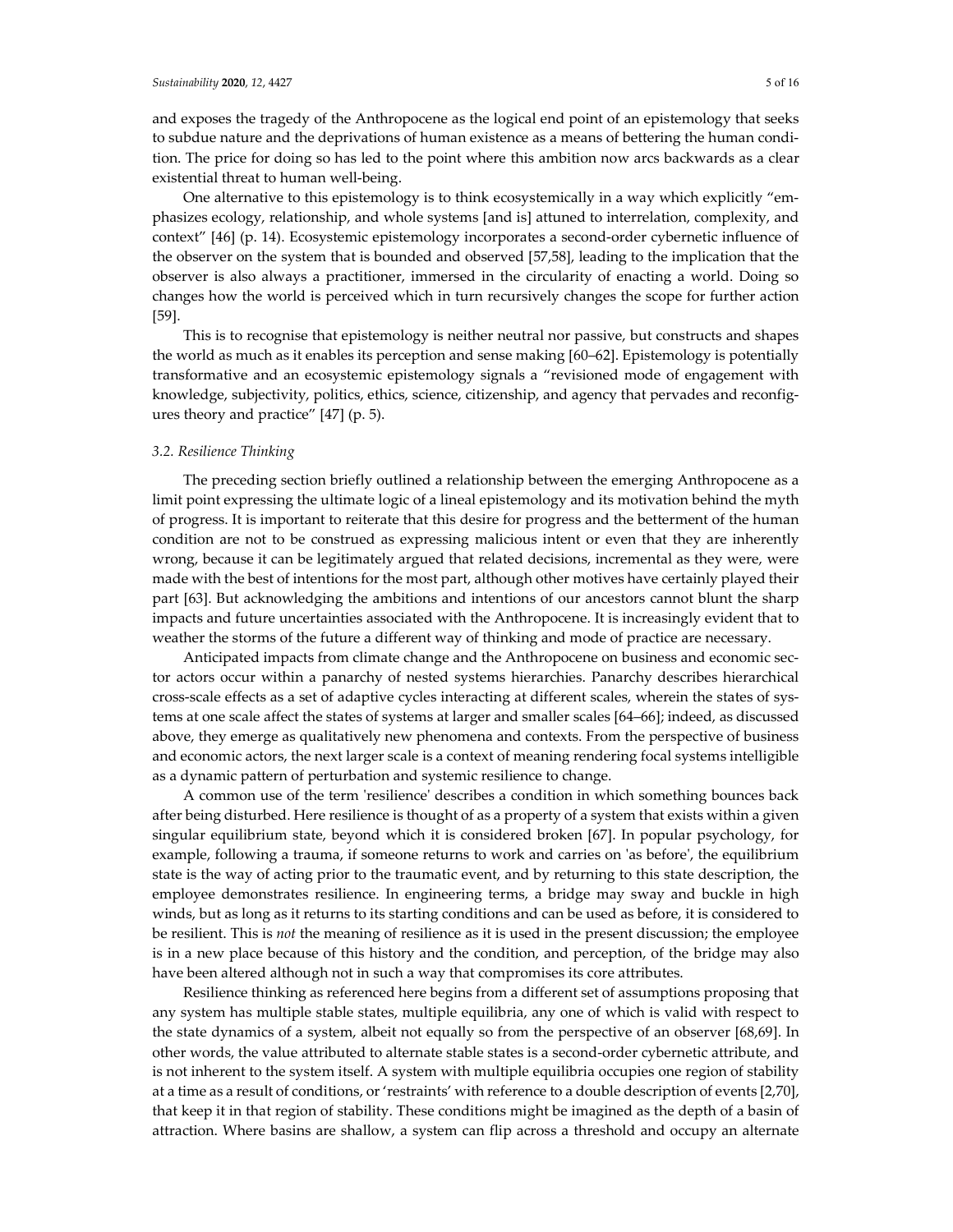and exposes the tragedy of the Anthropocene as the logical end point of an epistemology that seeks to subdue nature and the deprivations of human existence as a means of bettering the human condition. The price for doing so has led to the point where this ambition now arcs backwards as a clear existential threat to human well-being.

One alternative to this epistemology is to think ecosystemically in a way which explicitly "emphasizes ecology, relationship, and whole systems [and is] attuned to interrelation, complexity, and context" [46] (p. 14). Ecosystemic epistemology incorporates a second-order cybernetic influence of the observer on the system that is bounded and observed [57,58], leading to the implication that the observer is also always a practitioner, immersed in the circularity of enacting a world. Doing so changes how the world is perceived which in turn recursively changes the scope for further action [59].

This is to recognise that epistemology is neither neutral nor passive, but constructs and shapes the world as much as it enables its perception and sense making [60–62]. Epistemology is potentially transformative and an ecosystemic epistemology signals a "revisioned mode of engagement with knowledge, subjectivity, politics, ethics, science, citizenship, and agency that pervades and reconfigures theory and practice" [47] (p. 5).

## *3.2. Resilience Thinking*

The preceding section briefly outlined a relationship between the emerging Anthropocene as a limit point expressing the ultimate logic of a lineal epistemology and its motivation behind the myth of progress. It is important to reiterate that this desire for progress and the betterment of the human condition are not to be construed as expressing malicious intent or even that they are inherently wrong, because it can be legitimately argued that related decisions, incremental as they were, were made with the best of intentions for the most part, although other motives have certainly played their part [63]. But acknowledging the ambitions and intentions of our ancestors cannot blunt the sharp impacts and future uncertainties associated with the Anthropocene. It is increasingly evident that to weather the storms of the future a different way of thinking and mode of practice are necessary.

Anticipated impacts from climate change and the Anthropocene on business and economic sector actors occur within a panarchy of nested systems hierarchies. Panarchy describes hierarchical cross-scale effects as a set of adaptive cycles interacting at different scales, wherein the states of systems at one scale affect the states of systems at larger and smaller scales [64–66]; indeed, as discussed above, they emerge as qualitatively new phenomena and contexts. From the perspective of business and economic actors, the next larger scale is a context of meaning rendering focal systems intelligible as a dynamic pattern of perturbation and systemic resilience to change.

A common use of the term 'resilience' describes a condition in which something bounces back after being disturbed. Here resilience is thought of as a property of a system that exists within a given singular equilibrium state, beyond which it is considered broken [67]. In popular psychology, for example, following a trauma, if someone returns to work and carries on 'as before', the equilibrium state is the way of acting prior to the traumatic event, and by returning to this state description, the employee demonstrates resilience. In engineering terms, a bridge may sway and buckle in high winds, but as long as it returns to its starting conditions and can be used as before, it is considered to be resilient. This is *not* the meaning of resilience as it is used in the present discussion; the employee is in a new place because of this history and the condition, and perception, of the bridge may also have been altered although not in such a way that compromises its core attributes.

Resilience thinking as referenced here begins from a different set of assumptions proposing that any system has multiple stable states, multiple equilibria, any one of which is valid with respect to the state dynamics of a system, albeit not equally so from the perspective of an observer [68,69]. In other words, the value attributed to alternate stable states is a second-order cybernetic attribute, and is not inherent to the system itself. A system with multiple equilibria occupies one region of stability at a time as a result of conditions, or 'restraints' with reference to a double description of events [2,70], that keep it in that region of stability. These conditions might be imagined as the depth of a basin of attraction. Where basins are shallow, a system can flip across a threshold and occupy an alternate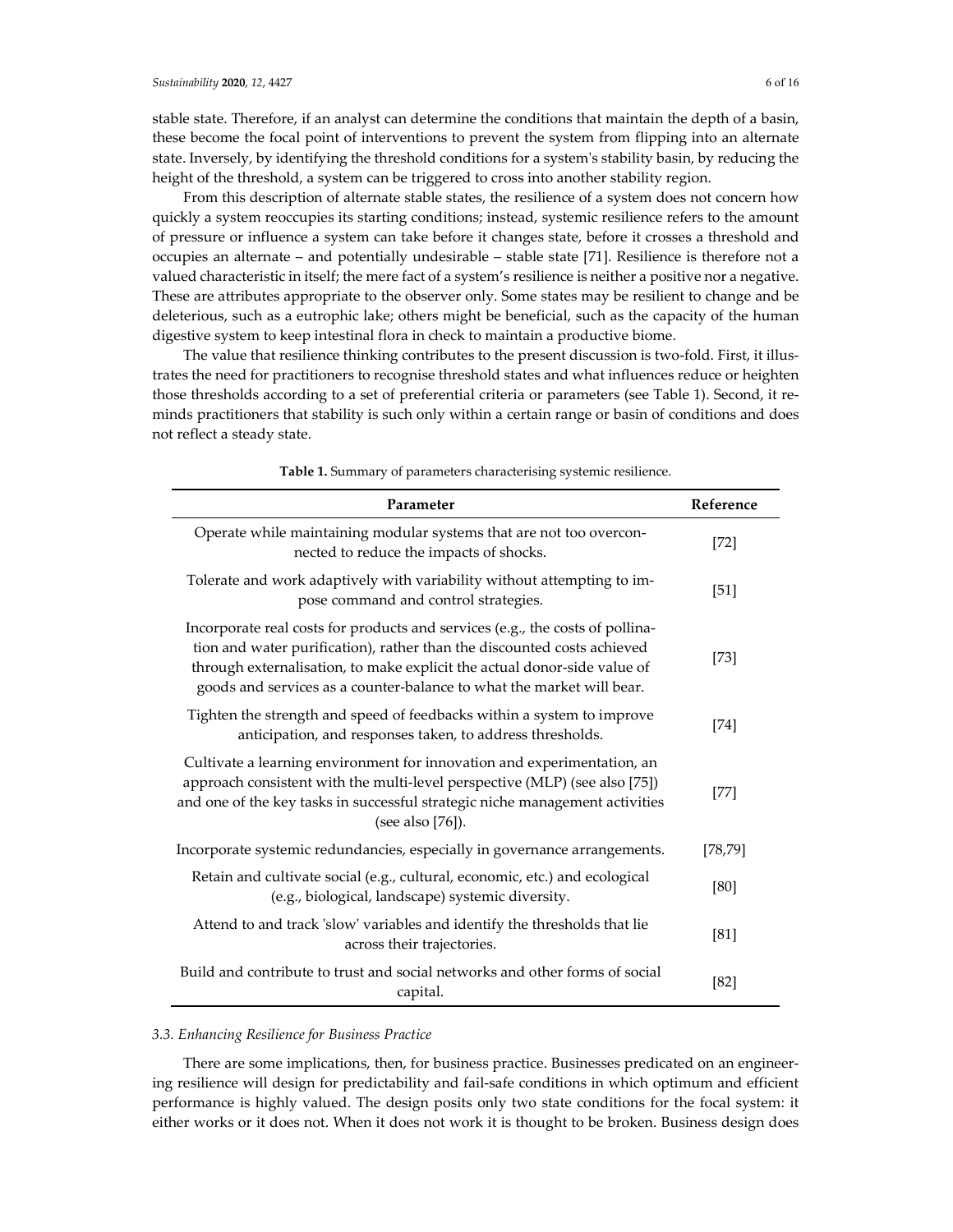stable state. Therefore, if an analyst can determine the conditions that maintain the depth of a basin, these become the focal point of interventions to prevent the system from flipping into an alternate state. Inversely, by identifying the threshold conditions for a system's stability basin, by reducing the height of the threshold, a system can be triggered to cross into another stability region.

From this description of alternate stable states, the resilience of a system does not concern how quickly a system reoccupies its starting conditions; instead, systemic resilience refers to the amount of pressure or influence a system can take before it changes state, before it crosses a threshold and occupies an alternate – and potentially undesirable – stable state [71]. Resilience is therefore not a valued characteristic in itself; the mere fact of a system's resilience is neither a positive nor a negative. These are attributes appropriate to the observer only. Some states may be resilient to change and be deleterious, such as a eutrophic lake; others might be beneficial, such as the capacity of the human digestive system to keep intestinal flora in check to maintain a productive biome.

The value that resilience thinking contributes to the present discussion is two-fold. First, it illustrates the need for practitioners to recognise threshold states and what influences reduce or heighten those thresholds according to a set of preferential criteria or parameters (see Table 1). Second, it reminds practitioners that stability is such only within a certain range or basin of conditions and does not reflect a steady state.

| Parameter                                                                                                                                                                                                                                                                                                     | Reference |
|---------------------------------------------------------------------------------------------------------------------------------------------------------------------------------------------------------------------------------------------------------------------------------------------------------------|-----------|
| Operate while maintaining modular systems that are not too overcon-<br>nected to reduce the impacts of shocks.                                                                                                                                                                                                | [72]      |
| Tolerate and work adaptively with variability without attempting to im-<br>pose command and control strategies.                                                                                                                                                                                               | [51]      |
| Incorporate real costs for products and services (e.g., the costs of pollina-<br>tion and water purification), rather than the discounted costs achieved<br>through externalisation, to make explicit the actual donor-side value of<br>goods and services as a counter-balance to what the market will bear. | [73]      |
| Tighten the strength and speed of feedbacks within a system to improve<br>anticipation, and responses taken, to address thresholds.                                                                                                                                                                           | [74]      |
| Cultivate a learning environment for innovation and experimentation, an<br>approach consistent with the multi-level perspective (MLP) (see also [75])<br>and one of the key tasks in successful strategic niche management activities<br>(see also [76]).                                                     | [77]      |
| Incorporate systemic redundancies, especially in governance arrangements.                                                                                                                                                                                                                                     | [78, 79]  |
| Retain and cultivate social (e.g., cultural, economic, etc.) and ecological<br>(e.g., biological, landscape) systemic diversity.                                                                                                                                                                              | [80]      |
| Attend to and track 'slow' variables and identify the thresholds that lie<br>across their trajectories.                                                                                                                                                                                                       | [81]      |
| Build and contribute to trust and social networks and other forms of social<br>capital.                                                                                                                                                                                                                       | $[82]$    |

**Table 1.** Summary of parameters characterising systemic resilience.

## *3.3. Enhancing Resilience for Business Practice*

There are some implications, then, for business practice. Businesses predicated on an engineering resilience will design for predictability and fail-safe conditions in which optimum and efficient performance is highly valued. The design posits only two state conditions for the focal system: it either works or it does not. When it does not work it is thought to be broken. Business design does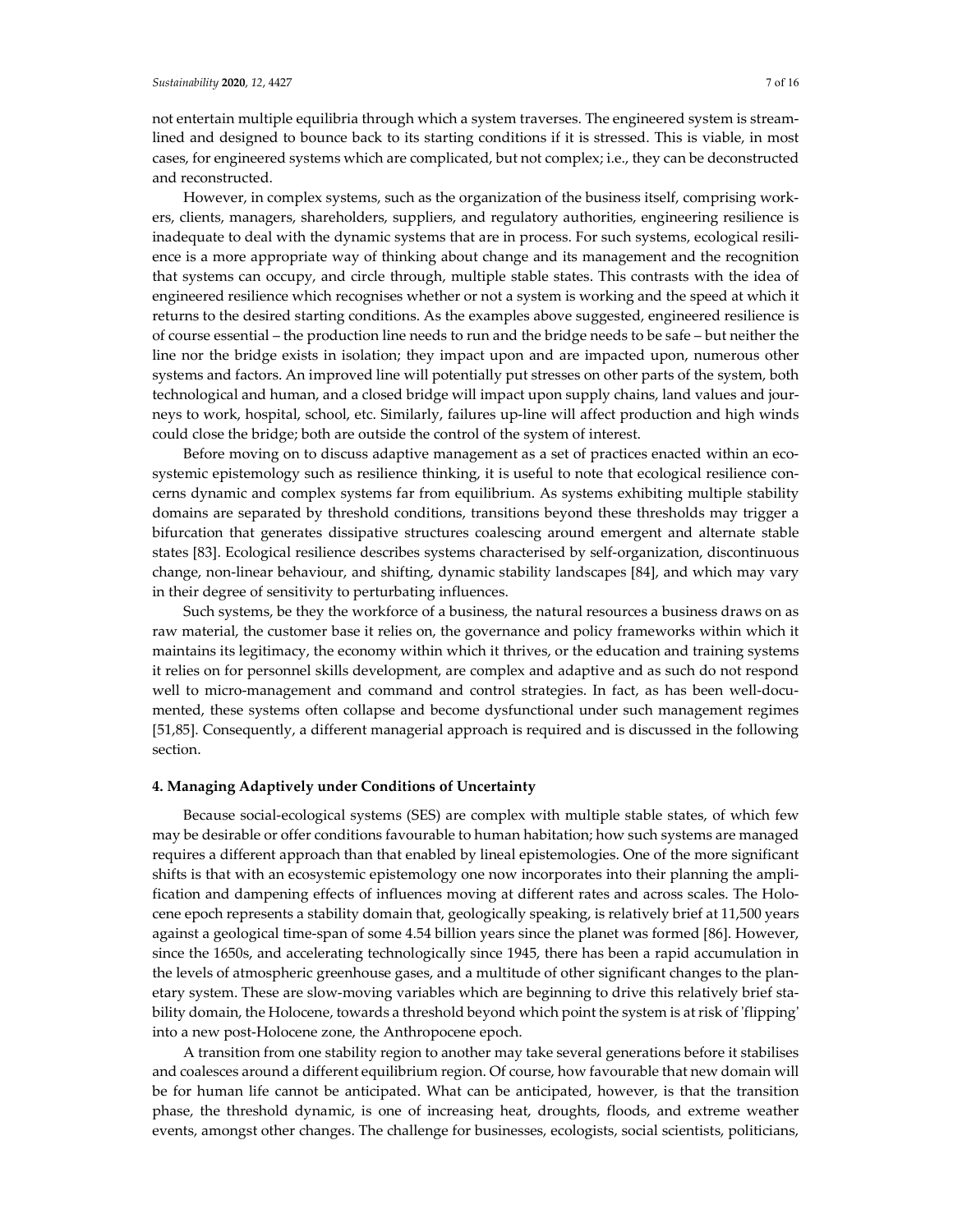#### *Sustainability* **2020**, *12*, 4427 7 of 16

not entertain multiple equilibria through which a system traverses. The engineered system is streamlined and designed to bounce back to its starting conditions if it is stressed. This is viable, in most cases, for engineered systems which are complicated, but not complex; i.e., they can be deconstructed and reconstructed.

However, in complex systems, such as the organization of the business itself, comprising workers, clients, managers, shareholders, suppliers, and regulatory authorities, engineering resilience is inadequate to deal with the dynamic systems that are in process. For such systems, ecological resilience is a more appropriate way of thinking about change and its management and the recognition that systems can occupy, and circle through, multiple stable states. This contrasts with the idea of engineered resilience which recognises whether or not a system is working and the speed at which it returns to the desired starting conditions. As the examples above suggested, engineered resilience is of course essential – the production line needs to run and the bridge needs to be safe – but neither the line nor the bridge exists in isolation; they impact upon and are impacted upon, numerous other systems and factors. An improved line will potentially put stresses on other parts of the system, both technological and human, and a closed bridge will impact upon supply chains, land values and journeys to work, hospital, school, etc. Similarly, failures up-line will affect production and high winds could close the bridge; both are outside the control of the system of interest.

Before moving on to discuss adaptive management as a set of practices enacted within an ecosystemic epistemology such as resilience thinking, it is useful to note that ecological resilience concerns dynamic and complex systems far from equilibrium. As systems exhibiting multiple stability domains are separated by threshold conditions, transitions beyond these thresholds may trigger a bifurcation that generates dissipative structures coalescing around emergent and alternate stable states [83]. Ecological resilience describes systems characterised by self-organization, discontinuous change, non-linear behaviour, and shifting, dynamic stability landscapes [84], and which may vary in their degree of sensitivity to perturbating influences.

Such systems, be they the workforce of a business, the natural resources a business draws on as raw material, the customer base it relies on, the governance and policy frameworks within which it maintains its legitimacy, the economy within which it thrives, or the education and training systems it relies on for personnel skills development, are complex and adaptive and as such do not respond well to micro-management and command and control strategies. In fact, as has been well-documented, these systems often collapse and become dysfunctional under such management regimes [51,85]. Consequently, a different managerial approach is required and is discussed in the following section.

## **4. Managing Adaptively under Conditions of Uncertainty**

Because social-ecological systems (SES) are complex with multiple stable states, of which few may be desirable or offer conditions favourable to human habitation; how such systems are managed requires a different approach than that enabled by lineal epistemologies. One of the more significant shifts is that with an ecosystemic epistemology one now incorporates into their planning the amplification and dampening effects of influences moving at different rates and across scales. The Holocene epoch represents a stability domain that, geologically speaking, is relatively brief at 11,500 years against a geological time-span of some 4.54 billion years since the planet was formed [86]. However, since the 1650s, and accelerating technologically since 1945, there has been a rapid accumulation in the levels of atmospheric greenhouse gases, and a multitude of other significant changes to the planetary system. These are slow-moving variables which are beginning to drive this relatively brief stability domain, the Holocene, towards a threshold beyond which point the system is at risk of 'flipping' into a new post-Holocene zone, the Anthropocene epoch.

A transition from one stability region to another may take several generations before it stabilises and coalesces around a different equilibrium region. Of course, how favourable that new domain will be for human life cannot be anticipated. What can be anticipated, however, is that the transition phase, the threshold dynamic, is one of increasing heat, droughts, floods, and extreme weather events, amongst other changes. The challenge for businesses, ecologists, social scientists, politicians,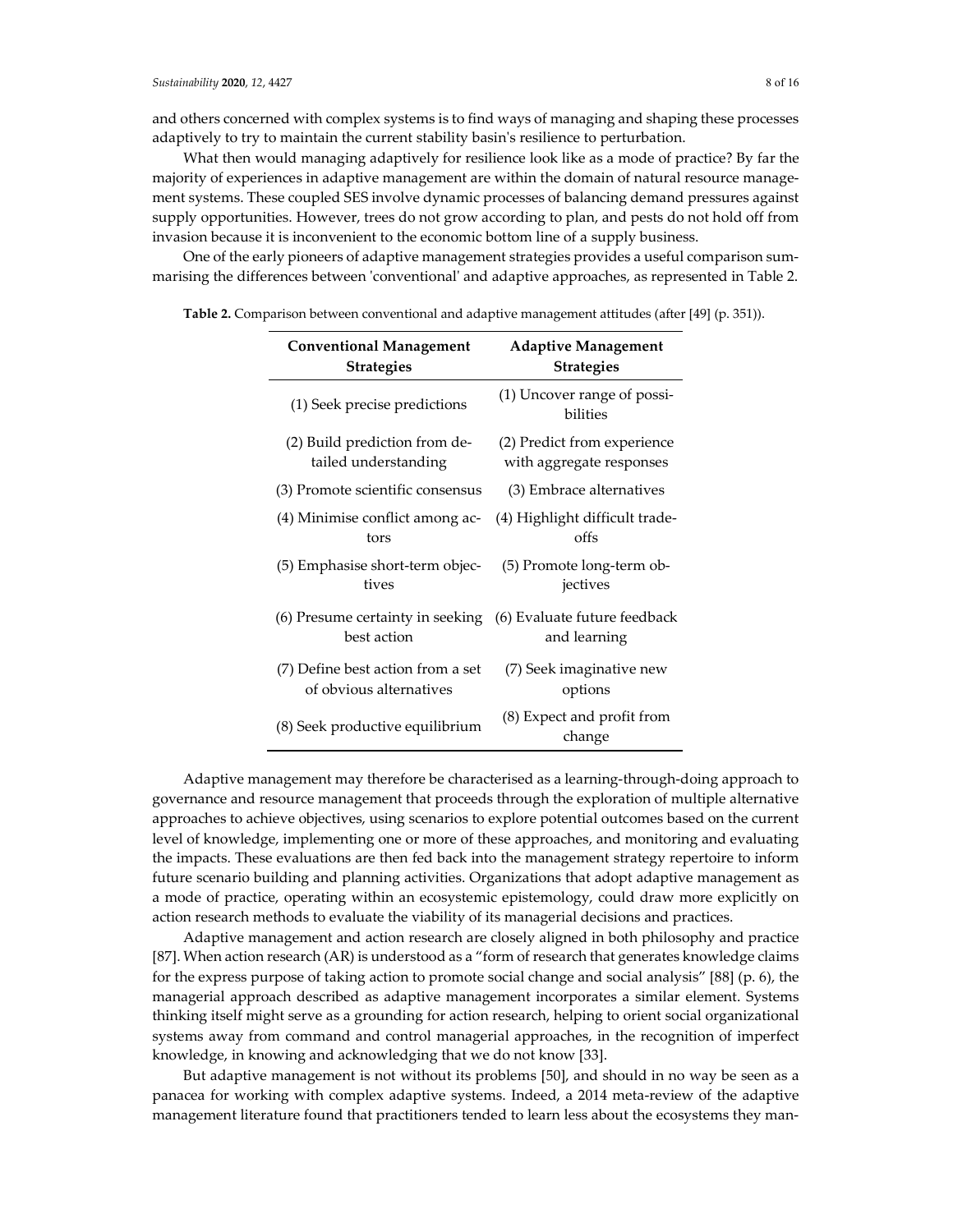and others concerned with complex systems is to find ways of managing and shaping these processes adaptively to try to maintain the current stability basin's resilience to perturbation.

What then would managing adaptively for resilience look like as a mode of practice? By far the majority of experiences in adaptive management are within the domain of natural resource management systems. These coupled SES involve dynamic processes of balancing demand pressures against supply opportunities. However, trees do not grow according to plan, and pests do not hold off from invasion because it is inconvenient to the economic bottom line of a supply business.

One of the early pioneers of adaptive management strategies provides a useful comparison summarising the differences between 'conventional' and adaptive approaches, as represented in Table 2.

| <b>Conventional Management</b>                                               | <b>Adaptive Management</b>              |
|------------------------------------------------------------------------------|-----------------------------------------|
| <b>Strategies</b>                                                            | <b>Strategies</b>                       |
| (1) Seek precise predictions                                                 | (1) Uncover range of possi-<br>bilities |
| (2) Build prediction from de-                                                | (2) Predict from experience             |
| tailed understanding                                                         | with aggregate responses                |
| (3) Promote scientific consensus                                             | (3) Embrace alternatives                |
| (4) Minimise conflict among ac-                                              | (4) Highlight difficult trade-          |
| tors                                                                         | offs                                    |
| (5) Emphasise short-term objec-                                              | (5) Promote long-term ob-               |
| tives                                                                        | jectives                                |
| (6) Presume certainty in seeking (6) Evaluate future feedback<br>best action | and learning                            |
| (7) Define best action from a set                                            | (7) Seek imaginative new                |
| of obvious alternatives                                                      | options                                 |
| (8) Seek productive equilibrium                                              | (8) Expect and profit from<br>change    |
|                                                                              |                                         |

**Table 2.** Comparison between conventional and adaptive management attitudes (after [49] (p. 351)).

Adaptive management may therefore be characterised as a learning-through-doing approach to governance and resource management that proceeds through the exploration of multiple alternative approaches to achieve objectives, using scenarios to explore potential outcomes based on the current level of knowledge, implementing one or more of these approaches, and monitoring and evaluating the impacts. These evaluations are then fed back into the management strategy repertoire to inform future scenario building and planning activities. Organizations that adopt adaptive management as a mode of practice, operating within an ecosystemic epistemology, could draw more explicitly on action research methods to evaluate the viability of its managerial decisions and practices.

Adaptive management and action research are closely aligned in both philosophy and practice [87]. When action research (AR) is understood as a "form of research that generates knowledge claims for the express purpose of taking action to promote social change and social analysis" [88] (p. 6), the managerial approach described as adaptive management incorporates a similar element. Systems thinking itself might serve as a grounding for action research, helping to orient social organizational systems away from command and control managerial approaches, in the recognition of imperfect knowledge, in knowing and acknowledging that we do not know [33].

But adaptive management is not without its problems [50], and should in no way be seen as a panacea for working with complex adaptive systems. Indeed, a 2014 meta-review of the adaptive management literature found that practitioners tended to learn less about the ecosystems they man-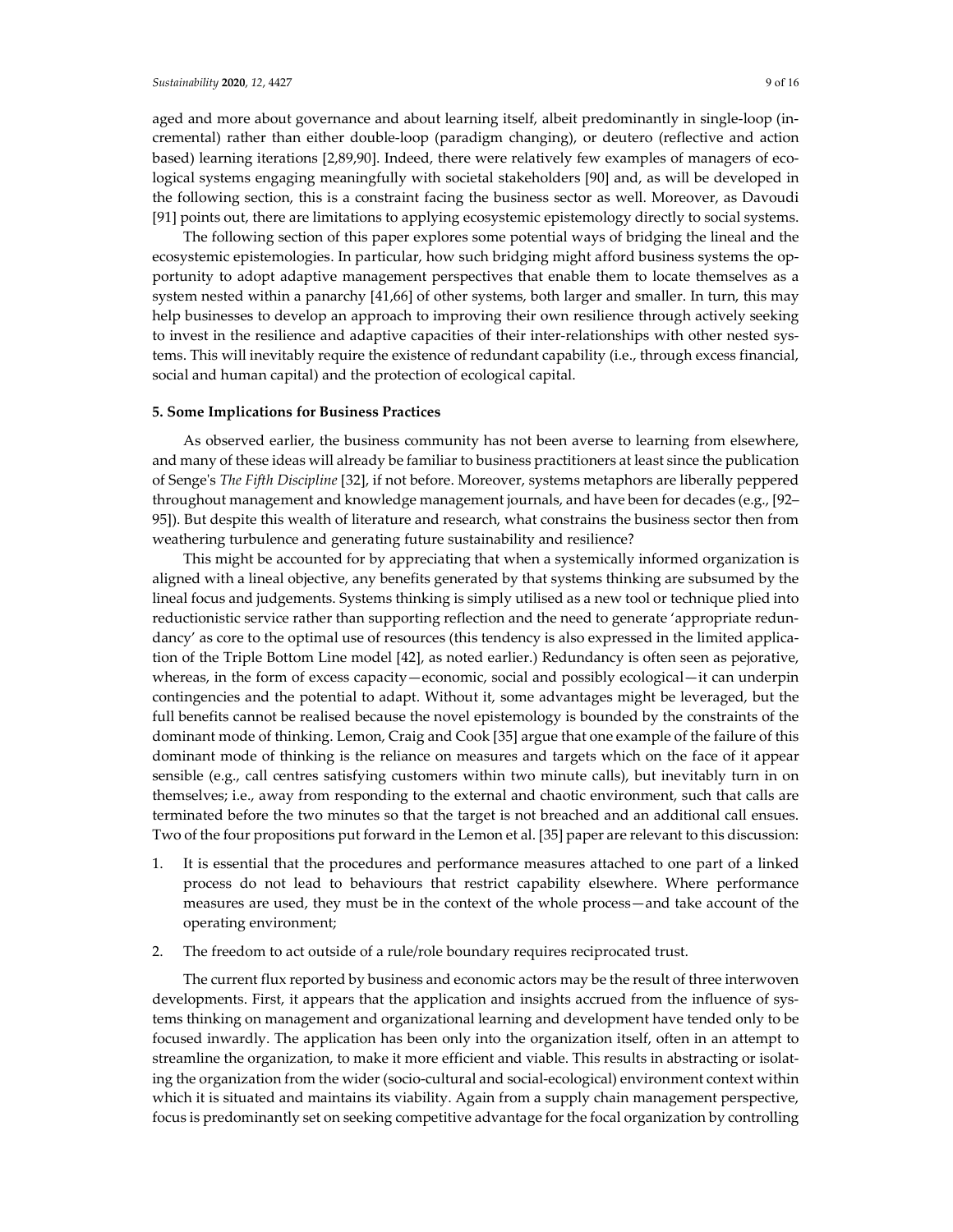aged and more about governance and about learning itself, albeit predominantly in single-loop (incremental) rather than either double-loop (paradigm changing), or deutero (reflective and action based) learning iterations [2,89,90]. Indeed, there were relatively few examples of managers of ecological systems engaging meaningfully with societal stakeholders [90] and, as will be developed in the following section, this is a constraint facing the business sector as well. Moreover, as Davoudi [91] points out, there are limitations to applying ecosystemic epistemology directly to social systems.

The following section of this paper explores some potential ways of bridging the lineal and the ecosystemic epistemologies. In particular, how such bridging might afford business systems the opportunity to adopt adaptive management perspectives that enable them to locate themselves as a system nested within a panarchy [41,66] of other systems, both larger and smaller. In turn, this may help businesses to develop an approach to improving their own resilience through actively seeking to invest in the resilience and adaptive capacities of their inter-relationships with other nested systems. This will inevitably require the existence of redundant capability (i.e., through excess financial, social and human capital) and the protection of ecological capital.

## **5. Some Implications for Business Practices**

As observed earlier, the business community has not been averse to learning from elsewhere, and many of these ideas will already be familiar to business practitioners at least since the publication of Senge's *The Fifth Discipline* [32], if not before. Moreover, systems metaphors are liberally peppered throughout management and knowledge management journals, and have been for decades (e.g., [92– 95]). But despite this wealth of literature and research, what constrains the business sector then from weathering turbulence and generating future sustainability and resilience?

This might be accounted for by appreciating that when a systemically informed organization is aligned with a lineal objective, any benefits generated by that systems thinking are subsumed by the lineal focus and judgements. Systems thinking is simply utilised as a new tool or technique plied into reductionistic service rather than supporting reflection and the need to generate 'appropriate redundancy' as core to the optimal use of resources (this tendency is also expressed in the limited application of the Triple Bottom Line model [42], as noted earlier.) Redundancy is often seen as pejorative, whereas, in the form of excess capacity—economic, social and possibly ecological—it can underpin contingencies and the potential to adapt. Without it, some advantages might be leveraged, but the full benefits cannot be realised because the novel epistemology is bounded by the constraints of the dominant mode of thinking. Lemon, Craig and Cook [35] argue that one example of the failure of this dominant mode of thinking is the reliance on measures and targets which on the face of it appear sensible (e.g., call centres satisfying customers within two minute calls), but inevitably turn in on themselves; i.e., away from responding to the external and chaotic environment, such that calls are terminated before the two minutes so that the target is not breached and an additional call ensues. Two of the four propositions put forward in the Lemon et al. [35] paper are relevant to this discussion:

- 1. It is essential that the procedures and performance measures attached to one part of a linked process do not lead to behaviours that restrict capability elsewhere. Where performance measures are used, they must be in the context of the whole process—and take account of the operating environment;
- 2. The freedom to act outside of a rule/role boundary requires reciprocated trust.

The current flux reported by business and economic actors may be the result of three interwoven developments. First, it appears that the application and insights accrued from the influence of systems thinking on management and organizational learning and development have tended only to be focused inwardly. The application has been only into the organization itself, often in an attempt to streamline the organization, to make it more efficient and viable. This results in abstracting or isolating the organization from the wider (socio-cultural and social-ecological) environment context within which it is situated and maintains its viability. Again from a supply chain management perspective, focus is predominantly set on seeking competitive advantage for the focal organization by controlling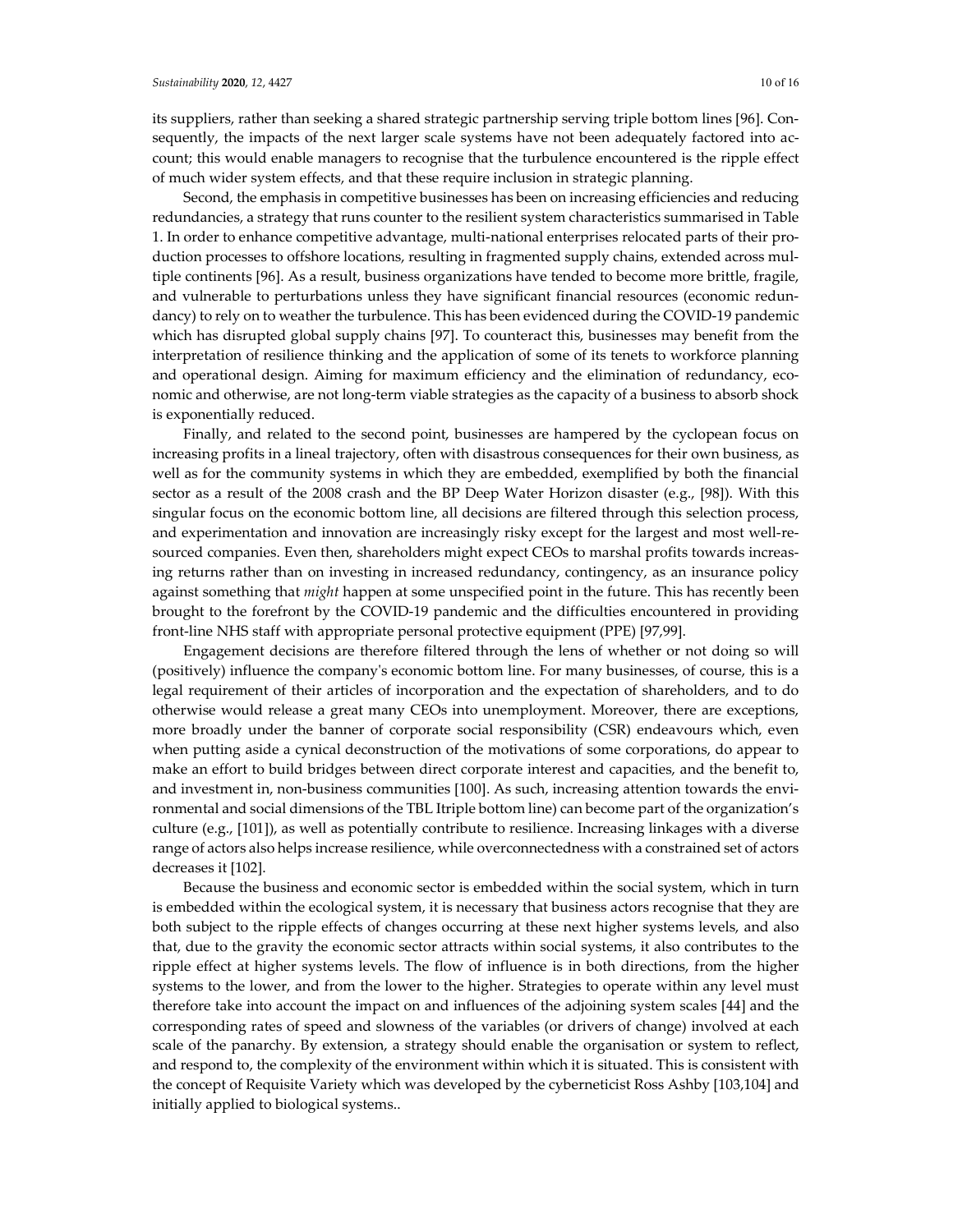its suppliers, rather than seeking a shared strategic partnership serving triple bottom lines [96]. Consequently, the impacts of the next larger scale systems have not been adequately factored into account; this would enable managers to recognise that the turbulence encountered is the ripple effect of much wider system effects, and that these require inclusion in strategic planning.

Second, the emphasis in competitive businesses has been on increasing efficiencies and reducing redundancies, a strategy that runs counter to the resilient system characteristics summarised in Table 1. In order to enhance competitive advantage, multi-national enterprises relocated parts of their production processes to offshore locations, resulting in fragmented supply chains, extended across multiple continents [96]. As a result, business organizations have tended to become more brittle, fragile, and vulnerable to perturbations unless they have significant financial resources (economic redundancy) to rely on to weather the turbulence. This has been evidenced during the COVID-19 pandemic which has disrupted global supply chains [97]. To counteract this, businesses may benefit from the interpretation of resilience thinking and the application of some of its tenets to workforce planning and operational design. Aiming for maximum efficiency and the elimination of redundancy, economic and otherwise, are not long-term viable strategies as the capacity of a business to absorb shock is exponentially reduced.

Finally, and related to the second point, businesses are hampered by the cyclopean focus on increasing profits in a lineal trajectory, often with disastrous consequences for their own business, as well as for the community systems in which they are embedded, exemplified by both the financial sector as a result of the 2008 crash and the BP Deep Water Horizon disaster (e.g., [98]). With this singular focus on the economic bottom line, all decisions are filtered through this selection process, and experimentation and innovation are increasingly risky except for the largest and most well-resourced companies. Even then, shareholders might expect CEOs to marshal profits towards increasing returns rather than on investing in increased redundancy, contingency, as an insurance policy against something that *might* happen at some unspecified point in the future. This has recently been brought to the forefront by the COVID-19 pandemic and the difficulties encountered in providing front-line NHS staff with appropriate personal protective equipment (PPE) [97,99].

Engagement decisions are therefore filtered through the lens of whether or not doing so will (positively) influence the company's economic bottom line. For many businesses, of course, this is a legal requirement of their articles of incorporation and the expectation of shareholders, and to do otherwise would release a great many CEOs into unemployment. Moreover, there are exceptions, more broadly under the banner of corporate social responsibility (CSR) endeavours which, even when putting aside a cynical deconstruction of the motivations of some corporations, do appear to make an effort to build bridges between direct corporate interest and capacities, and the benefit to, and investment in, non-business communities [100]. As such, increasing attention towards the environmental and social dimensions of the TBL Itriple bottom line) can become part of the organization's culture (e.g., [101]), as well as potentially contribute to resilience. Increasing linkages with a diverse range of actors also helps increase resilience, while overconnectedness with a constrained set of actors decreases it [102].

Because the business and economic sector is embedded within the social system, which in turn is embedded within the ecological system, it is necessary that business actors recognise that they are both subject to the ripple effects of changes occurring at these next higher systems levels, and also that, due to the gravity the economic sector attracts within social systems, it also contributes to the ripple effect at higher systems levels. The flow of influence is in both directions, from the higher systems to the lower, and from the lower to the higher. Strategies to operate within any level must therefore take into account the impact on and influences of the adjoining system scales [44] and the corresponding rates of speed and slowness of the variables (or drivers of change) involved at each scale of the panarchy. By extension, a strategy should enable the organisation or system to reflect, and respond to, the complexity of the environment within which it is situated. This is consistent with the concept of Requisite Variety which was developed by the cyberneticist Ross Ashby [103,104] and initially applied to biological systems..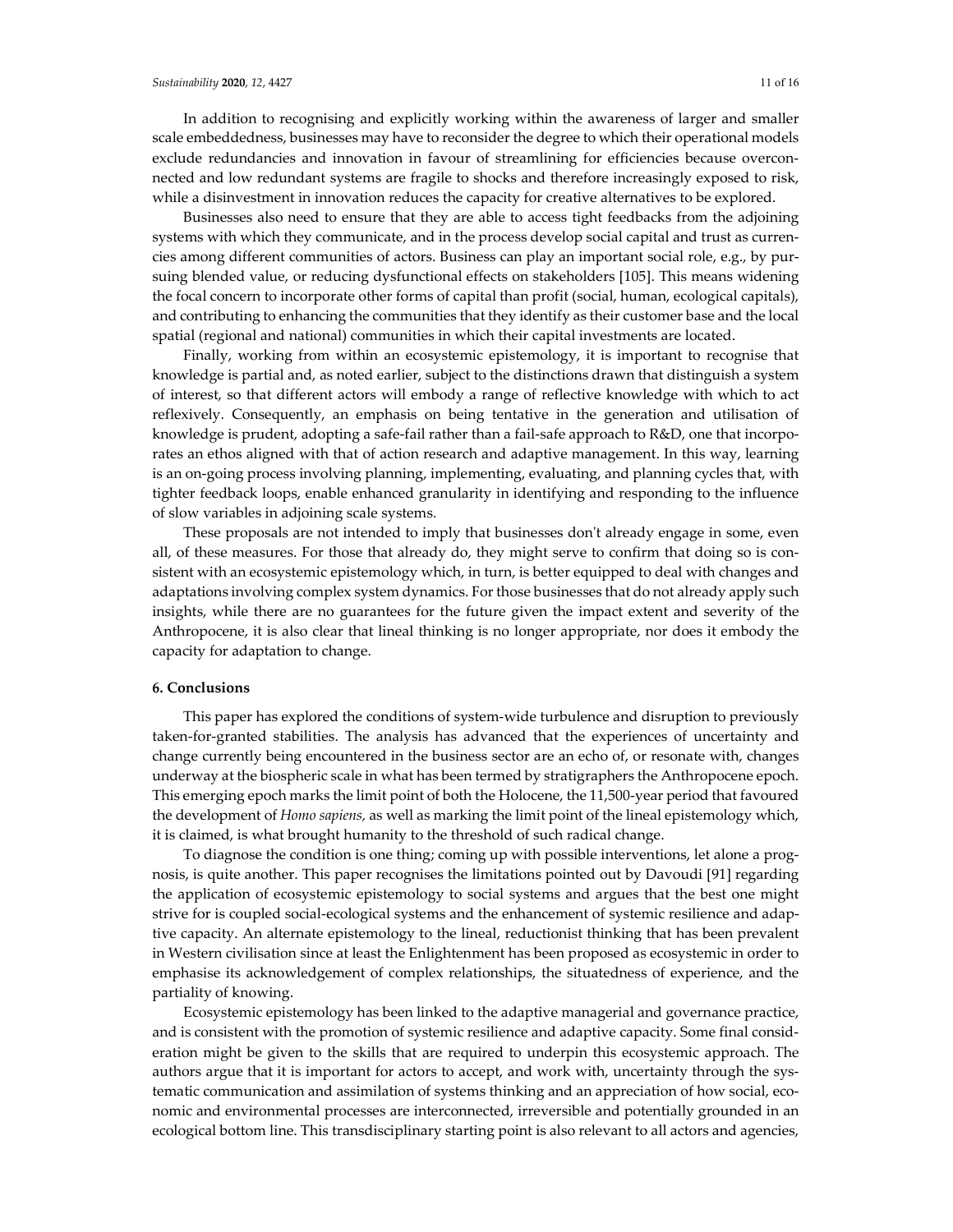In addition to recognising and explicitly working within the awareness of larger and smaller scale embeddedness, businesses may have to reconsider the degree to which their operational models exclude redundancies and innovation in favour of streamlining for efficiencies because overconnected and low redundant systems are fragile to shocks and therefore increasingly exposed to risk, while a disinvestment in innovation reduces the capacity for creative alternatives to be explored.

Businesses also need to ensure that they are able to access tight feedbacks from the adjoining systems with which they communicate, and in the process develop social capital and trust as currencies among different communities of actors. Business can play an important social role, e.g., by pursuing blended value, or reducing dysfunctional effects on stakeholders [105]. This means widening the focal concern to incorporate other forms of capital than profit (social, human, ecological capitals), and contributing to enhancing the communities that they identify as their customer base and the local spatial (regional and national) communities in which their capital investments are located.

Finally, working from within an ecosystemic epistemology, it is important to recognise that knowledge is partial and, as noted earlier, subject to the distinctions drawn that distinguish a system of interest, so that different actors will embody a range of reflective knowledge with which to act reflexively. Consequently, an emphasis on being tentative in the generation and utilisation of knowledge is prudent, adopting a safe-fail rather than a fail-safe approach to R&D, one that incorporates an ethos aligned with that of action research and adaptive management. In this way, learning is an on-going process involving planning, implementing, evaluating, and planning cycles that, with tighter feedback loops, enable enhanced granularity in identifying and responding to the influence of slow variables in adjoining scale systems.

These proposals are not intended to imply that businesses don't already engage in some, even all, of these measures. For those that already do, they might serve to confirm that doing so is consistent with an ecosystemic epistemology which, in turn, is better equipped to deal with changes and adaptations involving complex system dynamics. Forthose businesses that do not already apply such insights, while there are no guarantees for the future given the impact extent and severity of the Anthropocene, it is also clear that lineal thinking is no longer appropriate, nor does it embody the capacity for adaptation to change.

## **6. Conclusions**

This paper has explored the conditions of system-wide turbulence and disruption to previously taken-for-granted stabilities. The analysis has advanced that the experiences of uncertainty and change currently being encountered in the business sector are an echo of, or resonate with, changes underway at the biospheric scale in what has been termed by stratigraphers the Anthropocene epoch. This emerging epoch marks the limit point of both the Holocene, the 11,500-year period that favoured the development of *Homo sapiens,* as well as marking the limit point of the lineal epistemology which, it is claimed, is what brought humanity to the threshold of such radical change.

To diagnose the condition is one thing; coming up with possible interventions, let alone a prognosis, is quite another. This paper recognises the limitations pointed out by Davoudi [91] regarding the application of ecosystemic epistemology to social systems and argues that the best one might strive for is coupled social-ecological systems and the enhancement of systemic resilience and adaptive capacity. An alternate epistemology to the lineal, reductionist thinking that has been prevalent in Western civilisation since at least the Enlightenment has been proposed as ecosystemic in order to emphasise its acknowledgement of complex relationships, the situatedness of experience, and the partiality of knowing.

Ecosystemic epistemology has been linked to the adaptive managerial and governance practice, and is consistent with the promotion of systemic resilience and adaptive capacity. Some final consideration might be given to the skills that are required to underpin this ecosystemic approach. The authors argue that it is important for actors to accept, and work with, uncertainty through the systematic communication and assimilation of systems thinking and an appreciation of how social, economic and environmental processes are interconnected, irreversible and potentially grounded in an ecological bottom line. This transdisciplinary starting point is also relevant to all actors and agencies,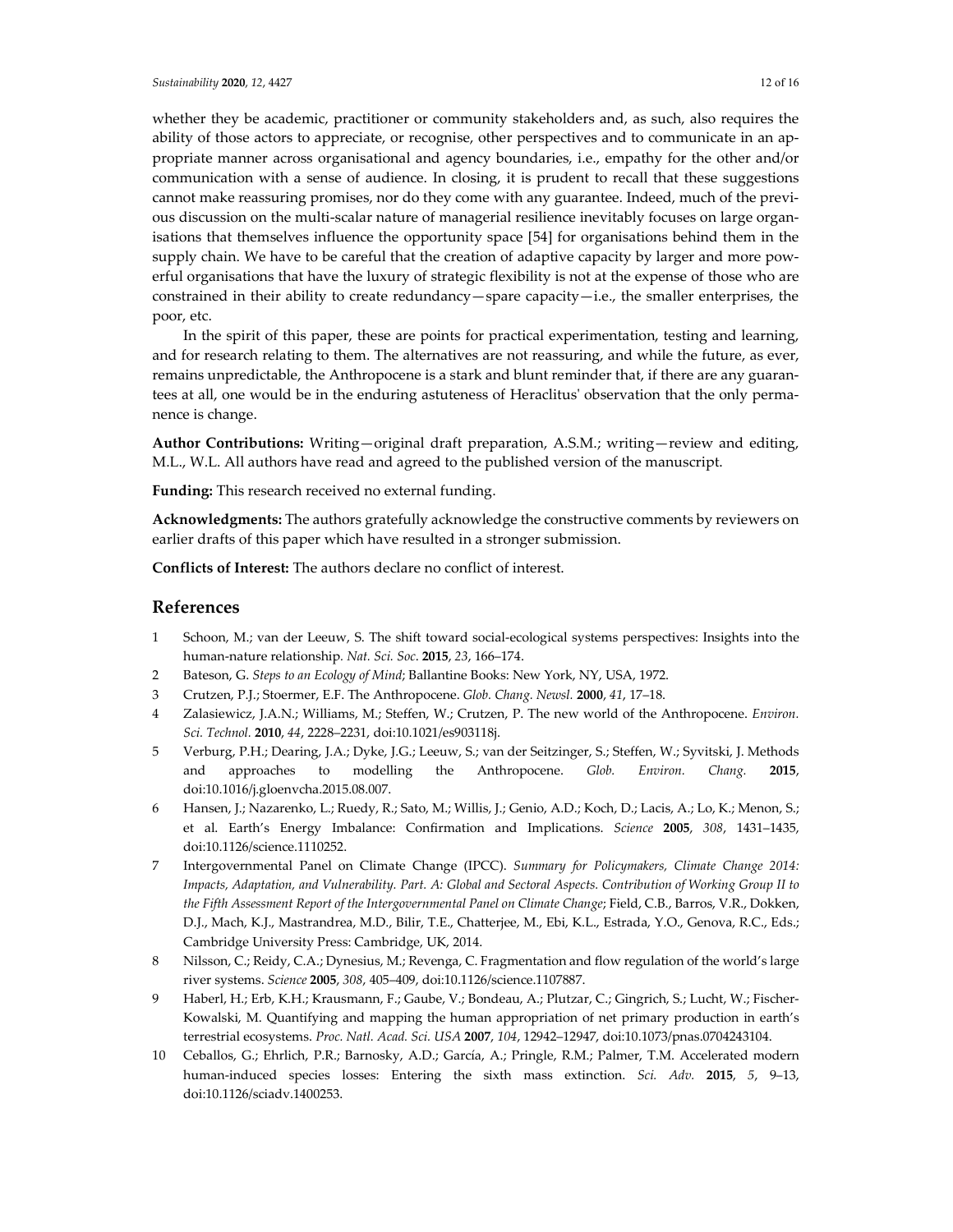whether they be academic, practitioner or community stakeholders and, as such, also requires the ability of those actors to appreciate, or recognise, other perspectives and to communicate in an appropriate manner across organisational and agency boundaries, i.e., empathy for the other and/or communication with a sense of audience. In closing, it is prudent to recall that these suggestions cannot make reassuring promises, nor do they come with any guarantee. Indeed, much of the previous discussion on the multi-scalar nature of managerial resilience inevitably focuses on large organisations that themselves influence the opportunity space [54] for organisations behind them in the supply chain. We have to be careful that the creation of adaptive capacity by larger and more powerful organisations that have the luxury of strategic flexibility is not at the expense of those who are constrained in their ability to create redundancy—spare capacity—i.e., the smaller enterprises, the poor, etc.

In the spirit of this paper, these are points for practical experimentation, testing and learning, and for research relating to them. The alternatives are not reassuring, and while the future, as ever, remains unpredictable, the Anthropocene is a stark and blunt reminder that, if there are any guarantees at all, one would be in the enduring astuteness of Heraclitus' observation that the only permanence is change.

**Author Contributions:** Writing—original draft preparation, A.S.M.; writing—review and editing, M.L., W.L. All authors have read and agreed to the published version of the manuscript.

**Funding:** This research received no external funding.

**Acknowledgments:** The authors gratefully acknowledge the constructive comments by reviewers on earlier drafts of this paper which have resulted in a stronger submission.

**Conflicts of Interest:** The authors declare no conflict of interest.

## **References**

- 1 Schoon, M.; van der Leeuw, S. The shift toward social-ecological systems perspectives: Insights into the human-nature relationship*. Nat. Sci. Soc*. **2015**, *23*, 166–174.
- 2 Bateson, G. *Steps to an Ecology of Mind*; Ballantine Books: New York, NY, USA, 1972.
- 3 Crutzen, P.J.; Stoermer, E.F. The Anthropocene. *Glob. Chang. Newsl.* **2000**, *41*, 17–18.
- 4 Zalasiewicz, J.A.N.; Williams, M.; Steffen, W.; Crutzen, P. The new world of the Anthropocene. *Environ. Sci. Technol.* **2010**, *44*, 2228–2231, doi:10.1021/es903118j.
- 5 Verburg, P.H.; Dearing, J.A.; Dyke, J.G.; Leeuw, S.; van der Seitzinger, S.; Steffen, W.; Syvitski, J. Methods and approaches to modelling the Anthropocene. *Glob. Environ. Chang.* **2015**, doi:10.1016/j.gloenvcha.2015.08.007.
- 6 Hansen, J.; Nazarenko, L.; Ruedy, R.; Sato, M.; Willis, J.; Genio, A.D.; Koch, D.; Lacis, A.; Lo, K.; Menon, S.; et al. Earth's Energy Imbalance: Confirmation and Implications. *Science* **2005**, *308*, 1431–1435, doi:10.1126/science.1110252.
- 7 Intergovernmental Panel on Climate Change (IPCC). *Summary for Policymakers, Climate Change 2014: Impacts, Adaptation, and Vulnerability. Part. A: Global and Sectoral Aspects. Contribution of Working Group II to the Fifth Assessment Report of the Intergovernmental Panel on Climate Change*; Field, C.B., Barros, V.R., Dokken, D.J., Mach, K.J., Mastrandrea, M.D., Bilir, T.E., Chatterjee, M., Ebi, K.L., Estrada, Y.O., Genova, R.C., Eds.; Cambridge University Press: Cambridge, UK, 2014.
- 8 Nilsson, C.; Reidy, C.A.; Dynesius, M.; Revenga, C. Fragmentation and flow regulation of the world's large river systems. *Science* **2005**, *308*, 405–409, doi:10.1126/science.1107887.
- 9 Haberl, H.; Erb, K.H.; Krausmann, F.; Gaube, V.; Bondeau, A.; Plutzar, C.; Gingrich, S.; Lucht, W.; Fischer-Kowalski, M. Quantifying and mapping the human appropriation of net primary production in earth's terrestrial ecosystems. *Proc. Natl. Acad. Sci. USA* **2007**, *104*, 12942–12947, doi:10.1073/pnas.0704243104.
- 10 Ceballos, G.; Ehrlich, P.R.; Barnosky, A.D.; García, A.; Pringle, R.M.; Palmer, T.M. Accelerated modern human-induced species losses: Entering the sixth mass extinction. *Sci. Adv.* **2015**, *5*, 9–13, doi:10.1126/sciadv.1400253.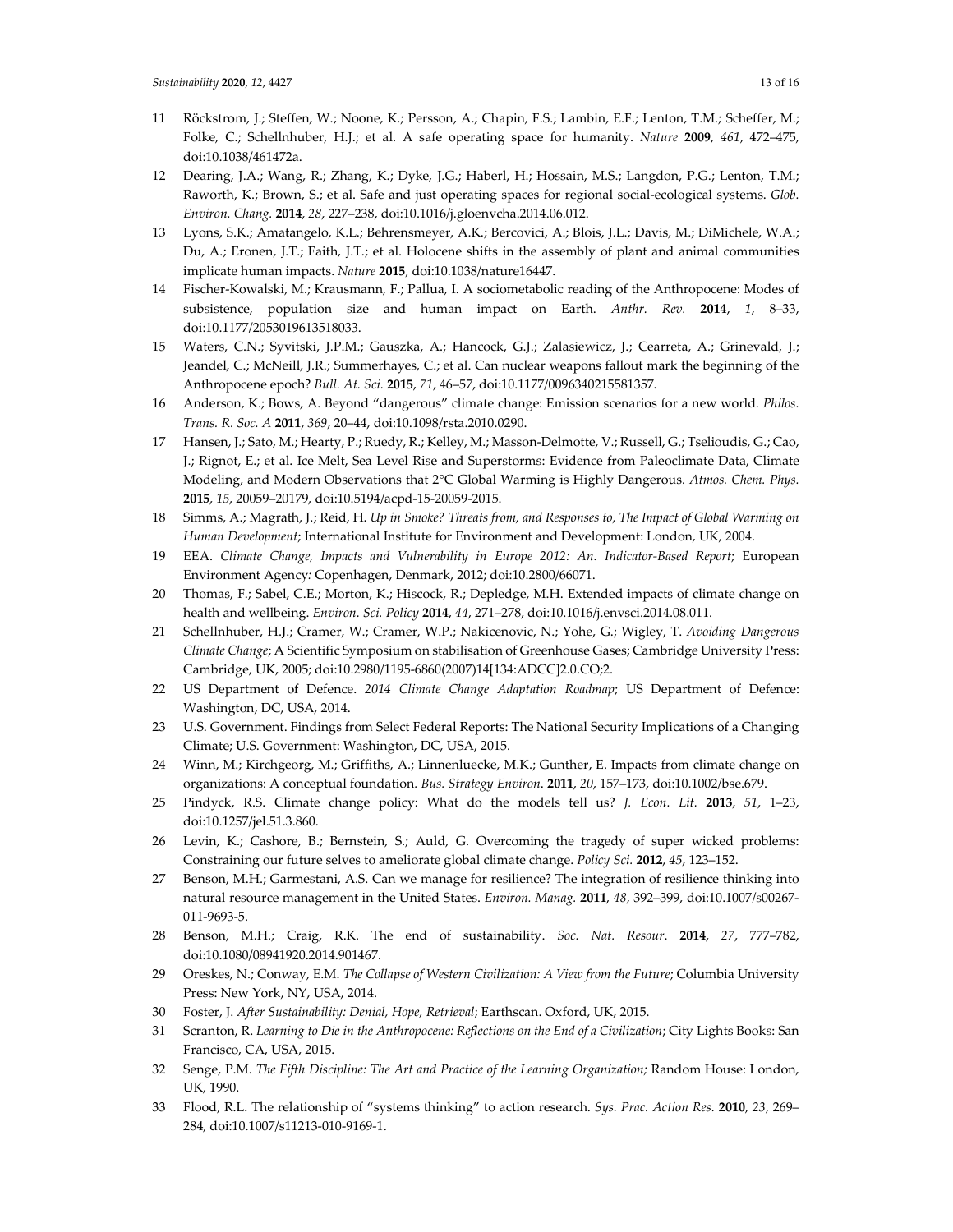- 11 Röckstrom, J.; Steffen, W.; Noone, K.; Persson, A.; Chapin, F.S.; Lambin, E.F.; Lenton, T.M.; Scheffer, M.; Folke, C.; Schellnhuber, H.J.; et al. A safe operating space for humanity. *Nature* **2009**, *461*, 472–475, doi:10.1038/461472a.
- 12 Dearing, J.A.; Wang, R.; Zhang, K.; Dyke, J.G.; Haberl, H.; Hossain, M.S.; Langdon, P.G.; Lenton, T.M.; Raworth, K.; Brown, S.; et al. Safe and just operating spaces for regional social-ecological systems. *Glob. Environ. Chang.* **2014**, *28*, 227–238, doi:10.1016/j.gloenvcha.2014.06.012.
- 13 Lyons, S.K.; Amatangelo, K.L.; Behrensmeyer, A.K.; Bercovici, A.; Blois, J.L.; Davis, M.; DiMichele, W.A.; Du, A.; Eronen, J.T.; Faith, J.T.; et al. Holocene shifts in the assembly of plant and animal communities implicate human impacts. *Nature* **2015**, doi:10.1038/nature16447.
- 14 Fischer-Kowalski, M.; Krausmann, F.; Pallua, I. A sociometabolic reading of the Anthropocene: Modes of subsistence, population size and human impact on Earth. *Anthr. Rev.* **2014**, *1*, 8–33, doi:10.1177/2053019613518033.
- 15 Waters, C.N.; Syvitski, J.P.M.; Gauszka, A.; Hancock, G.J.; Zalasiewicz, J.; Cearreta, A.; Grinevald, J.; Jeandel, C.; McNeill, J.R.; Summerhayes, C.; et al. Can nuclear weapons fallout mark the beginning of the Anthropocene epoch? *Bull. At. Sci.* **2015**, *71*, 46–57, doi:10.1177/0096340215581357.
- 16 Anderson, K.; Bows, A. Beyond "dangerous" climate change: Emission scenarios for a new world. *Philos. Trans. R. Soc. A* **2011**, *369*, 20–44, doi:10.1098/rsta.2010.0290.
- 17 Hansen, J.; Sato, M.; Hearty, P.; Ruedy, R.; Kelley, M.; Masson-Delmotte, V.; Russell, G.; Tselioudis, G.; Cao, J.; Rignot, E.; et al. Ice Melt, Sea Level Rise and Superstorms: Evidence from Paleoclimate Data, Climate Modeling, and Modern Observations that 2°C Global Warming is Highly Dangerous. *Atmos. Chem. Phys.* **2015**, *15*, 20059–20179, doi:10.5194/acpd-15-20059-2015.
- 18 Simms, A.; Magrath, J.; Reid, H. *Up in Smoke? Threats from, and Responses to, The Impact of Global Warming on Human Development*; International Institute for Environment and Development: London, UK, 2004.
- 19 EEA. *Climate Change, Impacts and Vulnerability in Europe 2012: An. Indicator-Based Report*; European Environment Agency*:* Copenhagen, Denmark, 2012; doi:10.2800/66071.
- 20 Thomas, F.; Sabel, C.E.; Morton, K.; Hiscock, R.; Depledge, M.H. Extended impacts of climate change on health and wellbeing. *Environ. Sci. Policy* **2014**, *44*, 271–278, doi:10.1016/j.envsci.2014.08.011.
- 21 Schellnhuber, H.J.; Cramer, W.; Cramer, W.P.; Nakicenovic, N.; Yohe, G.; Wigley, T. *Avoiding Dangerous Climate Change*; A Scientific Symposium on stabilisation of Greenhouse Gases; Cambridge University Press: Cambridge, UK, 2005; doi:10.2980/1195-6860(2007)14[134:ADCC]2.0.CO;2.
- 22 US Department of Defence. *2014 Climate Change Adaptation Roadmap*; US Department of Defence: Washington, DC, USA, 2014.
- 23 U.S. Government. Findings from Select Federal Reports: The National Security Implications of a Changing Climate; U.S. Government: Washington, DC, USA, 2015.
- 24 Winn, M.; Kirchgeorg, M.; Griffiths, A.; Linnenluecke, M.K.; Gunther, E. Impacts from climate change on organizations: A conceptual foundation*. Bus. Strategy Environ*. **2011**, *20*, 157–173, doi:10.1002/bse.679.
- 25 Pindyck, R.S. Climate change policy: What do the models tell us? *J. Econ. Lit.* **2013**, *51*, 1–23, doi:10.1257/jel.51.3.860.
- 26 Levin, K.; Cashore, B.; Bernstein, S.; Auld, G. Overcoming the tragedy of super wicked problems: Constraining our future selves to ameliorate global climate change. *Policy Sci.* **2012**, *45*, 123–152.
- 27 Benson, M.H.; Garmestani, A.S. Can we manage for resilience? The integration of resilience thinking into natural resource management in the United States. *Environ. Manag.* **2011**, *48*, 392–399, doi:10.1007/s00267- 011-9693-5.
- 28 Benson, M.H.; Craig, R.K. The end of sustainability. *Soc. Nat. Resour*. **2014**, *27*, 777–782, doi:10.1080/08941920.2014.901467.
- 29 Oreskes, N.; Conway, E.M. *The Collapse of Western Civilization: A View from the Future*; Columbia University Press: New York, NY, USA, 2014.
- 30 Foster, J. *After Sustainability: Denial, Hope, Retrieval*; Earthscan. Oxford, UK, 2015.
- 31 Scranton, R. *Learning to Die in the Anthropocene: Reflections on the End of a Civilization*; City Lights Books: San Francisco, CA, USA, 2015.
- 32 Senge, P.M. *The Fifth Discipline: The Art and Practice of the Learning Organization;* Random House: London, UK, 1990.
- 33 Flood, R.L. The relationship of "systems thinking" to action research. *Sys. Prac. Action Res.* **2010**, *23*, 269– 284, doi:10.1007/s11213-010-9169-1.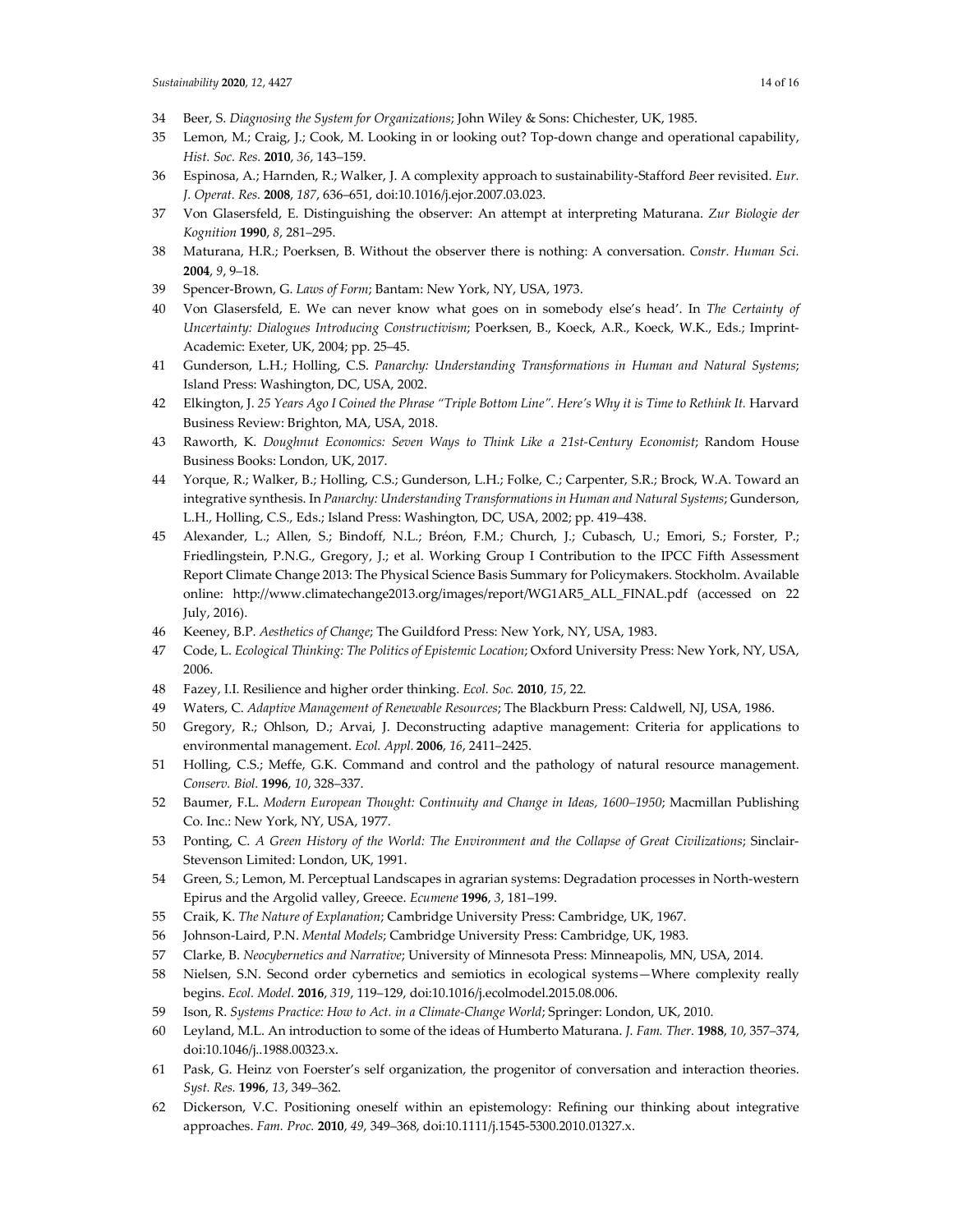- 34 Beer, S. *Diagnosing the System for Organizations*; John Wiley & Sons: Chichester, UK, 1985.
- 35 Lemon, M.; Craig, J.; Cook, M. Looking in or looking out? Top-down change and operational capability, *Hist. Soc. Res.* **2010**, *36*, 143–159.
- 36 Espinosa, A.; Harnden, R.; Walker, J. A complexity approach to sustainability-Stafford *B*eer revisited. *Eur. J. Operat. Res.* **2008**, *187*, 636–651, doi:10.1016/j.ejor.2007.03.023.
- 37 Von Glasersfeld, E. Distinguishing the observer: An attempt at interpreting Maturana. *Zur Biologie der Kognition* **1990**, *8*, 281–295.
- 38 Maturana, H.R.; Poerksen, B. Without the observer there is nothing: A conversation. *Constr. Human Sci.*  **2004**, *9*, 9–18.
- 39 Spencer-Brown, G. *Laws of Form*; Bantam: New York, NY, USA, 1973.
- 40 Von Glasersfeld, E. We can never know what goes on in somebody else's head'. In *The Certainty of Uncertainty: Dialogues Introducing Constructivism*; Poerksen, B., Koeck, A.R., Koeck, W.K., Eds.; Imprint-Academic: Exeter, UK, 2004; pp. 25–45.
- 41 Gunderson, L.H.; Holling, C.S. *Panarchy: Understanding Transformations in Human and Natural Systems*; Island Press: Washington, DC, USA, 2002.
- 42 Elkington, J. 25 Years Ago I Coined the Phrase "Triple Bottom Line". Here's Why it is Time to Rethink It. Harvard Business Review: Brighton, MA, USA, 2018.
- 43 Raworth, K. *Doughnut Economics: Seven Ways to Think Like a 21st-Century Economist*; Random House Business Books: London, UK, 2017.
- 44 Yorque, R.; Walker, B.; Holling, C.S.; Gunderson, L.H.; Folke, C.; Carpenter, S.R.; Brock, W.A. Toward an integrative synthesis. In *Panarchy: Understanding Transformations in Human and Natural Systems*; Gunderson, L.H., Holling, C.S., Eds.; Island Press: Washington, DC, USA, 2002; pp. 419–438.
- 45 Alexander, L.; Allen, S.; Bindoff, N.L.; Bréon, F.M.; Church, J.; Cubasch, U.; Emori, S.; Forster, P.; Friedlingstein, P.N.G., Gregory, J.; et al. Working Group I Contribution to the IPCC Fifth Assessment Report Climate Change 2013: The Physical Science Basis Summary for Policymakers. Stockholm. Available online: http://www.climatechange2013.org/images/report/WG1AR5\_ALL\_FINAL.pdf (accessed on 22 July, 2016).
- 46 Keeney, B.P. *Aesthetics of Change*; The Guildford Press: New York, NY, USA, 1983.
- 47 Code, L. *Ecological Thinking: The Politics of Epistemic Location*; Oxford University Press: New York, NY, USA, 2006.
- 48 Fazey, I.I. Resilience and higher order thinking. *Ecol. Soc.* **2010**, *15*, 22.
- 49 Waters, C. *Adaptive Management of Renewable Resources*; The Blackburn Press: Caldwell, NJ, USA, 1986.
- 50 Gregory, R.; Ohlson, D.; Arvai, J. Deconstructing adaptive management: Criteria for applications to environmental management. *Ecol. Appl.* **2006**, *16*, 2411–2425.
- 51 Holling, C.S.; Meffe, G.K. Command and control and the pathology of natural resource management. *Conserv. Biol.* **1996**, *10*, 328–337.
- 52 Baumer, F.L. *Modern European Thought: Continuity and Change in Ideas, 1600–1950*; Macmillan Publishing Co. Inc.: New York, NY, USA, 1977.
- 53 Ponting, C. *A Green History of the World: The Environment and the Collapse of Great Civilizations*; Sinclair-Stevenson Limited: London, UK, 1991.
- 54 Green, S.; Lemon, M. Perceptual Landscapes in agrarian systems: Degradation processes in North-western Epirus and the Argolid valley, Greece. *Ecumene* **1996**, *3*, 181–199.
- 55 Craik, K. *The Nature of Explanation*; Cambridge University Press: Cambridge, UK, 1967.
- 56 Johnson-Laird, P.N. *Mental Models*; Cambridge University Press: Cambridge, UK, 1983.
- 57 Clarke, B. *Neocybernetics and Narrative*; University of Minnesota Press: Minneapolis, MN, USA, 2014.
- 58 Nielsen, S.N. Second order cybernetics and semiotics in ecological systems—Where complexity really begins. *Ecol. Model.* **2016**, *319*, 119–129, doi:10.1016/j.ecolmodel.2015.08.006.
- 59 Ison, R. *Systems Practice: How to Act. in a Climate-Change World*; Springer: London, UK, 2010.
- 60 Leyland, M.L. An introduction to some of the ideas of Humberto Maturana. *J. Fam. Ther.* **1988**, *10*, 357–374, doi:10.1046/j..1988.00323.x.
- 61 Pask, G. Heinz von Foerster's self organization, the progenitor of conversation and interaction theories. *Syst. Res.* **1996**, *13*, 349–362.
- 62 Dickerson, V.C. Positioning oneself within an epistemology: Refining our thinking about integrative approaches. *Fam. Proc.* **2010**, *49*, 349–368, doi:10.1111/j.1545-5300.2010.01327.x.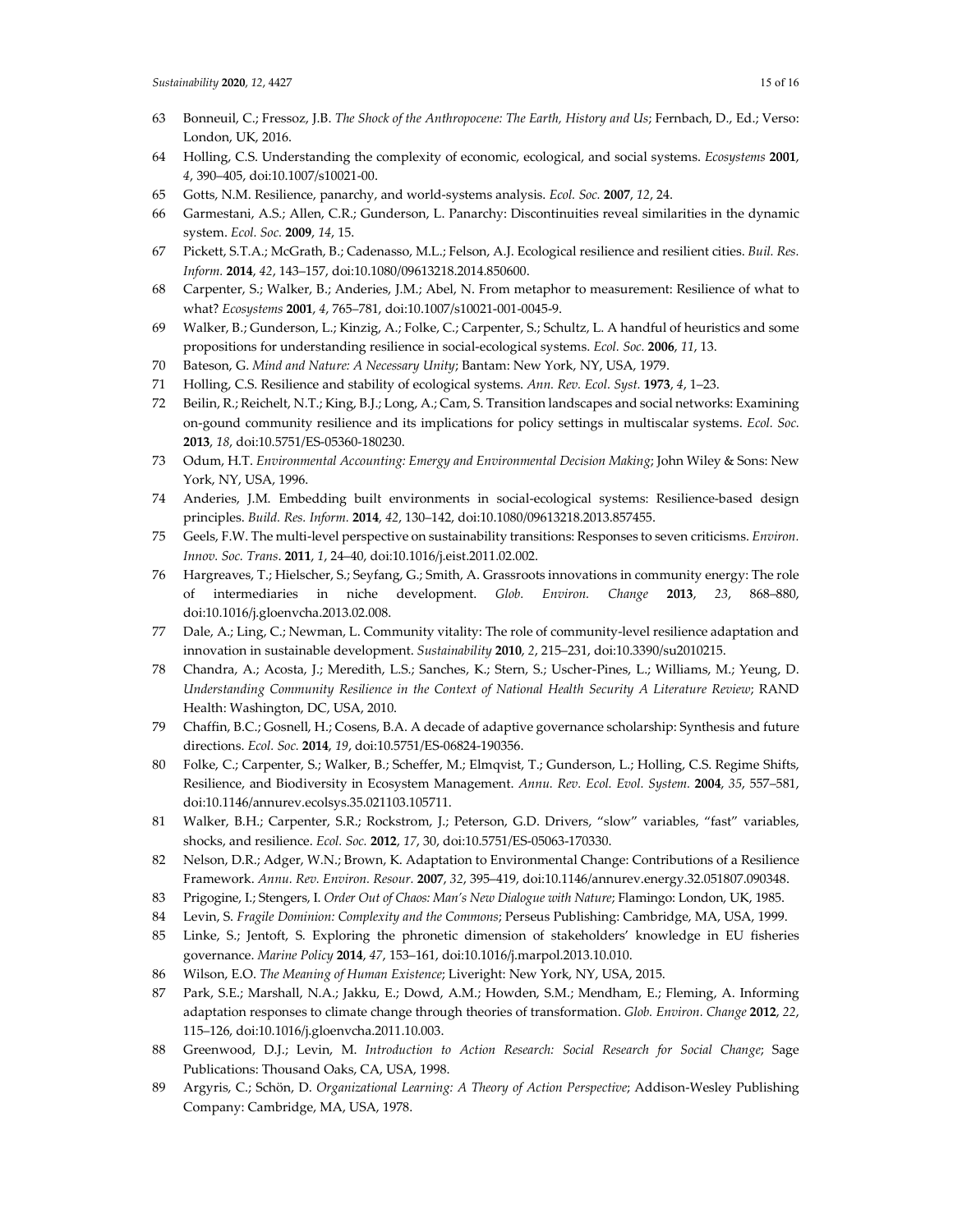- 63 Bonneuil, C.; Fressoz, J.B. *The Shock of the Anthropocene: The Earth, History and Us*; Fernbach, D., Ed.; Verso: London, UK, 2016.
- 64 Holling, C.S. Understanding the complexity of economic, ecological, and social systems. *Ecosystems* **2001**, *4*, 390–405, doi:10.1007/s10021-00.
- 65 Gotts, N.M. Resilience, panarchy, and world-systems analysis. *Ecol. Soc.* **2007**, *12*, 24.
- 66 Garmestani, A.S.; Allen, C.R.; Gunderson, L. Panarchy: Discontinuities reveal similarities in the dynamic system. *Ecol. Soc.* **2009**, *14*, 15.
- 67 Pickett, S.T.A.; McGrath, B.; Cadenasso, M.L.; Felson, A.J. Ecological resilience and resilient cities. *Buil. Res. Inform.* **2014**, *42*, 143–157, doi:10.1080/09613218.2014.850600.
- 68 Carpenter, S.; Walker, B.; Anderies, J.M.; Abel, N. From metaphor to measurement: Resilience of what to what? *Ecosystems* **2001**, *4*, 765–781, doi:10.1007/s10021-001-0045-9.
- 69 Walker, B.; Gunderson, L.; Kinzig, A.; Folke, C.; Carpenter, S.; Schultz, L. A handful of heuristics and some propositions for understanding resilience in social-ecological systems. *Ecol. Soc.* **2006**, *11*, 13.
- 70 Bateson, G. *Mind and Nature: A Necessary Unity*; Bantam: New York, NY, USA, 1979.
- 71 Holling, C.S. Resilience and stability of ecological systems. *Ann. Rev. Ecol. Syst.* **1973**, *4*, 1–23.
- 72 Beilin, R.; Reichelt, N.T.; King, B.J.; Long, A.; Cam, S. Transition landscapes and social networks: Examining on-gound community resilience and its implications for policy settings in multiscalar systems. *Ecol. Soc.*  **2013**, *18*, doi:10.5751/ES-05360-180230.
- 73 Odum, H.T. *Environmental Accounting: Emergy and Environmental Decision Making*; John Wiley & Sons: New York, NY, USA, 1996.
- 74 Anderies, J.M. Embedding built environments in social-ecological systems: Resilience-based design principles. *Build. Res. Inform.* **2014**, *42*, 130–142, doi:10.1080/09613218.2013.857455.
- 75 Geels, F.W. The multi-level perspective on sustainability transitions: Responses to seven criticisms. *Environ. Innov. Soc. Trans*. **2011**, *1*, 24–40, doi:10.1016/j.eist.2011.02.002.
- 76 Hargreaves, T.; Hielscher, S.; Seyfang, G.; Smith, A. Grassroots innovations in community energy: The role of intermediaries in niche development. *Glob. Environ. Change* **2013**, *23*, 868–880, doi:10.1016/j.gloenvcha.2013.02.008.
- 77 Dale, A.; Ling, C.; Newman, L. Community vitality: The role of community-level resilience adaptation and innovation in sustainable development. *Sustainability* **2010**, *2*, 215–231, doi:10.3390/su2010215.
- 78 Chandra, A.; Acosta, J.; Meredith, L.S.; Sanches, K.; Stern, S.; Uscher-Pines, L.; Williams, M.; Yeung, D. *Understanding Community Resilience in the Context of National Health Security A Literature Review*; RAND Health: Washington, DC, USA, 2010.
- 79 Chaffin, B.C.; Gosnell, H.; Cosens, B.A. A decade of adaptive governance scholarship: Synthesis and future directions. *Ecol. Soc.* **2014**, *19*, doi:10.5751/ES-06824-190356.
- 80 Folke, C.; Carpenter, S.; Walker, B.; Scheffer, M.; Elmqvist, T.; Gunderson, L.; Holling, C.S. Regime Shifts, Resilience, and Biodiversity in Ecosystem Management. *Annu. Rev. Ecol. Evol. System.* **2004**, *35*, 557–581, doi:10.1146/annurev.ecolsys.35.021103.105711.
- 81 Walker, B.H.; Carpenter, S.R.; Rockstrom, J.; Peterson, G.D. Drivers, "slow" variables, "fast" variables, shocks, and resilience. *Ecol. Soc.* **2012**, *17*, 30, doi:10.5751/ES-05063-170330.
- 82 Nelson, D.R.; Adger, W.N.; Brown, K. Adaptation to Environmental Change: Contributions of a Resilience Framework. *Annu. Rev. Environ. Resour.* **2007**, *32*, 395–419, doi:10.1146/annurev.energy.32.051807.090348.
- 83 Prigogine, I.; Stengers, I. *Order Out of Chaos: Man's New Dialogue with Nature*; Flamingo: London, UK, 1985.
- 84 Levin, S. *Fragile Dominion: Complexity and the Commons*; Perseus Publishing: Cambridge, MA, USA, 1999.
- 85 Linke, S.; Jentoft, S. Exploring the phronetic dimension of stakeholders' knowledge in EU fisheries governance. *Marine Policy* **2014**, *47*, 153–161, doi:10.1016/j.marpol.2013.10.010.
- 86 Wilson, E.O. *The Meaning of Human Existence*; Liveright: New York, NY, USA, 2015.
- 87 Park, S.E.; Marshall, N.A.; Jakku, E.; Dowd, A.M.; Howden, S.M.; Mendham, E.; Fleming, A. Informing adaptation responses to climate change through theories of transformation. *Glob. Environ. Change* **2012**, *22*, 115–126, doi:10.1016/j.gloenvcha.2011.10.003.
- 88 Greenwood, D.J.; Levin, M. *Introduction to Action Research: Social Research for Social Change*; Sage Publications: Thousand Oaks, CA, USA, 1998.
- 89 Argyris, C.; Schön, D. *Organizational Learning: A Theory of Action Perspective*; Addison-Wesley Publishing Company: Cambridge, MA, USA, 1978.